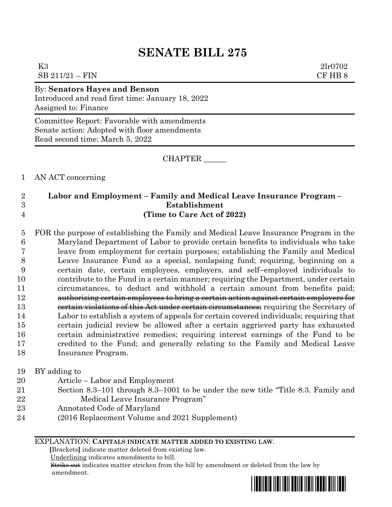# **SENATE BILL 275**

| K3<br>$SB\ 211/21 - FIN$                                                                                  | 2lr0702<br>CF HB 8 |
|-----------------------------------------------------------------------------------------------------------|--------------------|
| By: Senators Hayes and Benson<br>Introduced and read first time: January 18, 2022<br>Assigned to: Finance |                    |
| Committee Depart Forwards with emendments                                                                 |                    |

Committee Report: Favorable with amendments Senate action: Adopted with floor amendments Read second time: March 5, 2022

CHAPTER \_\_\_\_\_\_

AN ACT concerning

### **Labor and Employment – Family and Medical Leave Insurance Program – Establishment (Time to Care Act of 2022)**

 FOR the purpose of establishing the Family and Medical Leave Insurance Program in the Maryland Department of Labor to provide certain benefits to individuals who take leave from employment for certain purposes; establishing the Family and Medical Leave Insurance Fund as a special, nonlapsing fund; requiring, beginning on a certain date, certain employees, employers, and self–employed individuals to contribute to the Fund in a certain manner; requiring the Department, under certain circumstances, to deduct and withhold a certain amount from benefits paid; authorizing certain employees to bring a certain action against certain employers for **EXECT** corrections of this Act under certain circumstances; requiring the Secretary of Labor to establish a system of appeals for certain covered individuals; requiring that certain judicial review be allowed after a certain aggrieved party has exhausted certain administrative remedies; requiring interest earnings of the Fund to be credited to the Fund; and generally relating to the Family and Medical Leave Insurance Program.

### BY adding to

- Article Labor and Employment
- Section 8.3–101 through 8.3–1001 to be under the new title "Title 8.3. Family and Medical Leave Insurance Program"
- Annotated Code of Maryland
- (2016 Replacement Volume and 2021 Supplement)

### EXPLANATION: **CAPITALS INDICATE MATTER ADDED TO EXISTING LAW**.

 **[**Brackets**]** indicate matter deleted from existing law.

Underlining indicates amendments to bill.

 Strike out indicates matter stricken from the bill by amendment or deleted from the law by amendment.

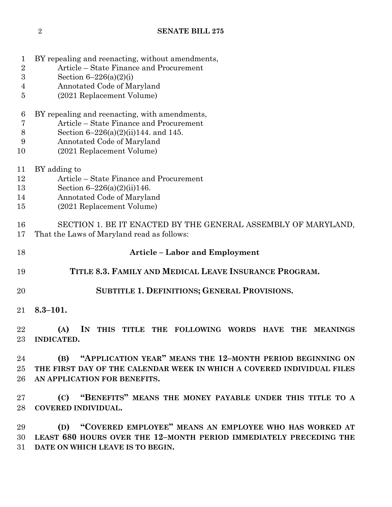- BY repealing and reenacting, without amendments,
- Article State Finance and Procurement
- Section 6–226(a)(2)(i)
- Annotated Code of Maryland
- (2021 Replacement Volume)
- BY repealing and reenacting, with amendments,
- Article State Finance and Procurement
- Section 6–226(a)(2)(ii)144. and 145.
- Annotated Code of Maryland
- (2021 Replacement Volume)
- BY adding to
- Article State Finance and Procurement
- Section 6–226(a)(2)(ii)146.
- Annotated Code of Maryland
- (2021 Replacement Volume)

# SECTION 1. BE IT ENACTED BY THE GENERAL ASSEMBLY OF MARYLAND, That the Laws of Maryland read as follows:

- **Article – Labor and Employment**
- **TITLE 8.3. FAMILY AND MEDICAL LEAVE INSURANCE PROGRAM.**
- **SUBTITLE 1. DEFINITIONS; GENERAL PROVISIONS.**
- **8.3–101.**

 **(A) IN THIS TITLE THE FOLLOWING WORDS HAVE THE MEANINGS INDICATED.**

 **(B) "APPLICATION YEAR" MEANS THE 12–MONTH PERIOD BEGINNING ON THE FIRST DAY OF THE CALENDAR WEEK IN WHICH A COVERED INDIVIDUAL FILES AN APPLICATION FOR BENEFITS.**

 **(C) "BENEFITS" MEANS THE MONEY PAYABLE UNDER THIS TITLE TO A COVERED INDIVIDUAL.**

 **(D) "COVERED EMPLOYEE" MEANS AN EMPLOYEE WHO HAS WORKED AT LEAST 680 HOURS OVER THE 12–MONTH PERIOD IMMEDIATELY PRECEDING THE DATE ON WHICH LEAVE IS TO BEGIN.**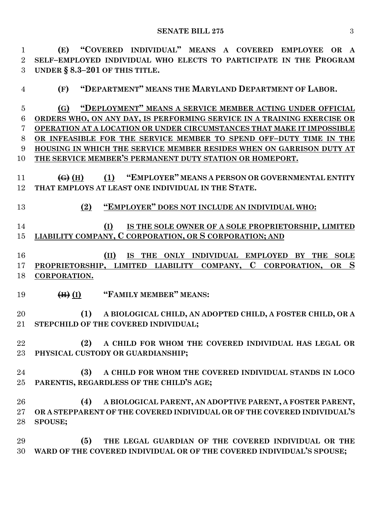**(E) "COVERED INDIVIDUAL" MEANS A COVERED EMPLOYEE OR A SELF–EMPLOYED INDIVIDUAL WHO ELECTS TO PARTICIPATE IN THE PROGRAM UNDER § 8.3–201 OF THIS TITLE.**

**(F) "DEPARTMENT" MEANS THE MARYLAND DEPARTMENT OF LABOR.**

 **(G) "DEPLOYMENT" MEANS A SERVICE MEMBER ACTING UNDER OFFICIAL ORDERS WHO, ON ANY DAY, IS PERFORMING SERVICE IN A TRAINING EXERCISE OR OPERATION AT A LOCATION OR UNDER CIRCUMSTANCES THAT MAKE IT IMPOSSIBLE OR INFEASIBLE FOR THE SERVICE MEMBER TO SPEND OFF–DUTY TIME IN THE HOUSING IN WHICH THE SERVICE MEMBER RESIDES WHEN ON GARRISON DUTY AT THE SERVICE MEMBER'S PERMANENT DUTY STATION OR HOMEPORT.**

 **(G) (H) (1) "EMPLOYER" MEANS A PERSON OR GOVERNMENTAL ENTITY THAT EMPLOYS AT LEAST ONE INDIVIDUAL IN THE STATE.**

**(2) "EMPLOYER" DOES NOT INCLUDE AN INDIVIDUAL WHO:**

 **(I) IS THE SOLE OWNER OF A SOLE PROPRIETORSHIP, LIMITED LIABILITY COMPANY, C CORPORATION, OR S CORPORATION; AND**

 **(II) IS THE ONLY INDIVIDUAL EMPLOYED BY THE SOLE PROPRIETORSHIP, LIMITED LIABILITY COMPANY, C CORPORATION, OR S CORPORATION.**

**(H) (I) "FAMILY MEMBER" MEANS:**

 **(1) A BIOLOGICAL CHILD, AN ADOPTED CHILD, A FOSTER CHILD, OR A STEPCHILD OF THE COVERED INDIVIDUAL;**

 **(2) A CHILD FOR WHOM THE COVERED INDIVIDUAL HAS LEGAL OR PHYSICAL CUSTODY OR GUARDIANSHIP;**

 **(3) A CHILD FOR WHOM THE COVERED INDIVIDUAL STANDS IN LOCO PARENTIS, REGARDLESS OF THE CHILD'S AGE;**

 **(4) A BIOLOGICAL PARENT, AN ADOPTIVE PARENT, A FOSTER PARENT, OR A STEPPARENT OF THE COVERED INDIVIDUAL OR OF THE COVERED INDIVIDUAL'S SPOUSE;**

 **(5) THE LEGAL GUARDIAN OF THE COVERED INDIVIDUAL OR THE WARD OF THE COVERED INDIVIDUAL OR OF THE COVERED INDIVIDUAL'S SPOUSE;**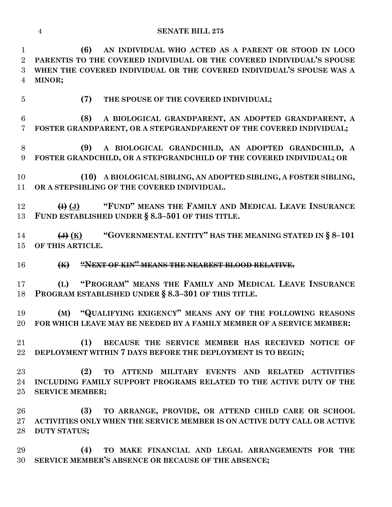#### **SENATE BILL 275**

 **(6) AN INDIVIDUAL WHO ACTED AS A PARENT OR STOOD IN LOCO PARENTIS TO THE COVERED INDIVIDUAL OR THE COVERED INDIVIDUAL'S SPOUSE WHEN THE COVERED INDIVIDUAL OR THE COVERED INDIVIDUAL'S SPOUSE WAS A MINOR;**

**(7) THE SPOUSE OF THE COVERED INDIVIDUAL;**

 **(8) A BIOLOGICAL GRANDPARENT, AN ADOPTED GRANDPARENT, A FOSTER GRANDPARENT, OR A STEPGRANDPARENT OF THE COVERED INDIVIDUAL;**

 **(9) A BIOLOGICAL GRANDCHILD, AN ADOPTED GRANDCHILD, A FOSTER GRANDCHILD, OR A STEPGRANDCHILD OF THE COVERED INDIVIDUAL; OR**

 **(10) A BIOLOGICAL SIBLING, AN ADOPTED SIBLING, A FOSTER SIBLING, OR A STEPSIBLING OF THE COVERED INDIVIDUAL.**

 **(I) (J) "FUND" MEANS THE FAMILY AND MEDICAL LEAVE INSURANCE FUND ESTABLISHED UNDER § 8.3–501 OF THIS TITLE.**

 **(J) (K) "GOVERNMENTAL ENTITY" HAS THE MEANING STATED IN § 8–101 OF THIS ARTICLE.**

**(K) "NEXT OF KIN" MEANS THE NEAREST BLOOD RELATIVE.**

 **(L) "PROGRAM" MEANS THE FAMILY AND MEDICAL LEAVE INSURANCE PROGRAM ESTABLISHED UNDER § 8.3–301 OF THIS TITLE.**

 **(M) "QUALIFYING EXIGENCY" MEANS ANY OF THE FOLLOWING REASONS FOR WHICH LEAVE MAY BE NEEDED BY A FAMILY MEMBER OF A SERVICE MEMBER:**

 **(1) BECAUSE THE SERVICE MEMBER HAS RECEIVED NOTICE OF DEPLOYMENT WITHIN 7 DAYS BEFORE THE DEPLOYMENT IS TO BEGIN;**

 **(2) TO ATTEND MILITARY EVENTS AND RELATED ACTIVITIES INCLUDING FAMILY SUPPORT PROGRAMS RELATED TO THE ACTIVE DUTY OF THE SERVICE MEMBER;**

 **(3) TO ARRANGE, PROVIDE, OR ATTEND CHILD CARE OR SCHOOL ACTIVITIES ONLY WHEN THE SERVICE MEMBER IS ON ACTIVE DUTY CALL OR ACTIVE DUTY STATUS;**

 **(4) TO MAKE FINANCIAL AND LEGAL ARRANGEMENTS FOR THE SERVICE MEMBER'S ABSENCE OR BECAUSE OF THE ABSENCE;**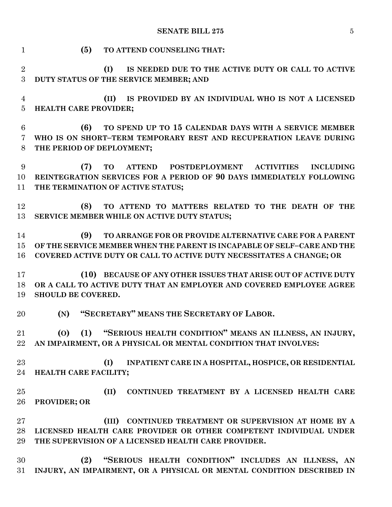| $\mathbf{1}$                     | (5)<br>TO ATTEND COUNSELING THAT:                                                                                                                                                                                 |
|----------------------------------|-------------------------------------------------------------------------------------------------------------------------------------------------------------------------------------------------------------------|
| $\overline{2}$<br>3              | (I)<br>IS NEEDED DUE TO THE ACTIVE DUTY OR CALL TO ACTIVE<br>DUTY STATUS OF THE SERVICE MEMBER; AND                                                                                                               |
| $\overline{4}$<br>$\overline{5}$ | IS PROVIDED BY AN INDIVIDUAL WHO IS NOT A LICENSED<br>(II)<br>HEALTH CARE PROVIDER;                                                                                                                               |
| 6<br>7<br>8                      | TO SPEND UP TO 15 CALENDAR DAYS WITH A SERVICE MEMBER<br>(6)<br>WHO IS ON SHORT-TERM TEMPORARY REST AND RECUPERATION LEAVE DURING<br>THE PERIOD OF DEPLOYMENT;                                                    |
| 9<br>10<br>11                    | ATTEND POSTDEPLOYMENT ACTIVITIES INCLUDING<br>(7)<br><b>TO</b><br>REINTEGRATION SERVICES FOR A PERIOD OF 90 DAYS IMMEDIATELY FOLLOWING<br>THE TERMINATION OF ACTIVE STATUS;                                       |
| 12<br>13                         | (8)<br>TO ATTEND TO MATTERS RELATED TO THE DEATH OF THE<br>SERVICE MEMBER WHILE ON ACTIVE DUTY STATUS;                                                                                                            |
| 14<br>15<br>16                   | (9)<br>TO ARRANGE FOR OR PROVIDE ALTERNATIVE CARE FOR A PARENT<br>OF THE SERVICE MEMBER WHEN THE PARENT IS INCAPABLE OF SELF-CARE AND THE<br>COVERED ACTIVE DUTY OR CALL TO ACTIVE DUTY NECESSITATES A CHANGE; OR |
| 17<br>18<br>19                   | (10) BECAUSE OF ANY OTHER ISSUES THAT ARISE OUT OF ACTIVE DUTY<br>OR A CALL TO ACTIVE DUTY THAT AN EMPLOYER AND COVERED EMPLOYEE AGREE<br><b>SHOULD BE COVERED.</b>                                               |
| 20                               | (N) "SECRETARY" MEANS THE SECRETARY OF LABOR.                                                                                                                                                                     |
| 21<br>$22\,$                     | (0) (1) "SERIOUS HEALTH CONDITION" MEANS AN ILLNESS, AN INJURY,<br>AN IMPAIRMENT, OR A PHYSICAL OR MENTAL CONDITION THAT INVOLVES:                                                                                |
| 23<br>24                         | (I)<br>INPATIENT CARE IN A HOSPITAL, HOSPICE, OR RESIDENTIAL<br>HEALTH CARE FACILITY;                                                                                                                             |
| 25<br>26                         | (II)<br>CONTINUED TREATMENT BY A LICENSED HEALTH CARE<br>PROVIDER; OR                                                                                                                                             |
| 27<br>28<br>29                   | CONTINUED TREATMENT OR SUPERVISION AT HOME BY A<br>(III)<br>LICENSED HEALTH CARE PROVIDER OR OTHER COMPETENT INDIVIDUAL UNDER<br>THE SUPERVISION OF A LICENSED HEALTH CARE PROVIDER.                              |
| 30<br>31                         | "SERIOUS HEALTH CONDITION" INCLUDES AN ILLNESS, AN<br>(2)<br>INJURY, AN IMPAIRMENT, OR A PHYSICAL OR MENTAL CONDITION DESCRIBED IN                                                                                |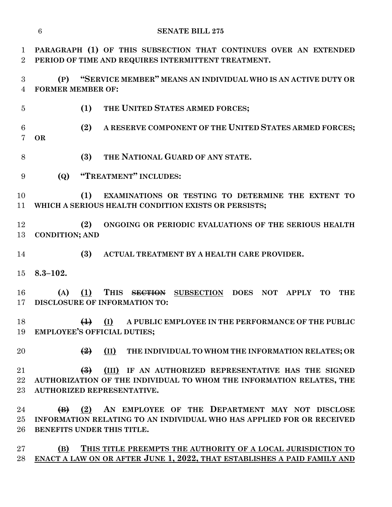**PARAGRAPH (1) OF THIS SUBSECTION THAT CONTINUES OVER AN EXTENDED PERIOD OF TIME AND REQUIRES INTERMITTENT TREATMENT. (P) "SERVICE MEMBER" MEANS AN INDIVIDUAL WHO IS AN ACTIVE DUTY OR FORMER MEMBER OF: (1) THE UNITED STATES ARMED FORCES; (2) A RESERVE COMPONENT OF THE UNITED STATES ARMED FORCES; OR (3) THE NATIONAL GUARD OF ANY STATE. (Q) "TREATMENT" INCLUDES: (1) EXAMINATIONS OR TESTING TO DETERMINE THE EXTENT TO WHICH A SERIOUS HEALTH CONDITION EXISTS OR PERSISTS; (2) ONGOING OR PERIODIC EVALUATIONS OF THE SERIOUS HEALTH CONDITION; AND (3) ACTUAL TREATMENT BY A HEALTH CARE PROVIDER. 8.3–102. (A) (1) THIS SECTION SUBSECTION DOES NOT APPLY TO THE DISCLOSURE OF INFORMATION TO: (1) (I) A PUBLIC EMPLOYEE IN THE PERFORMANCE OF THE PUBLIC EMPLOYEE'S OFFICIAL DUTIES; (2) (II) THE INDIVIDUAL TO WHOM THE INFORMATION RELATES; OR (3) (III) IF AN AUTHORIZED REPRESENTATIVE HAS THE SIGNED AUTHORIZATION OF THE INDIVIDUAL TO WHOM THE INFORMATION RELATES, THE AUTHORIZED REPRESENTATIVE. (B) (2) AN EMPLOYEE OF THE DEPARTMENT MAY NOT DISCLOSE INFORMATION RELATING TO AN INDIVIDUAL WHO HAS APPLIED FOR OR RECEIVED BENEFITS UNDER THIS TITLE. (B) THIS TITLE PREEMPTS THE AUTHORITY OF A LOCAL JURISDICTION TO ENACT A LAW ON OR AFTER JUNE 1, 2022, THAT ESTABLISHES A PAID FAMILY AND** 

**SENATE BILL 275**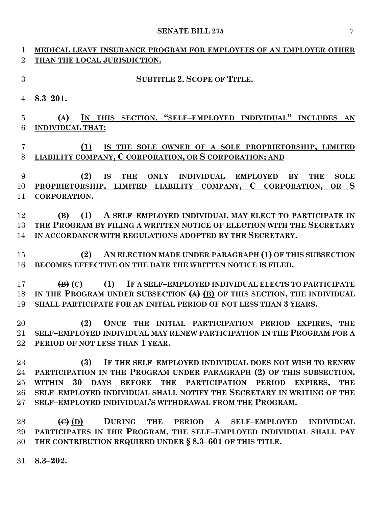| $\mathbf{1}$   | MEDICAL LEAVE INSURANCE PROGRAM FOR EMPLOYEES OF AN EMPLOYER OTHER                                                                             |
|----------------|------------------------------------------------------------------------------------------------------------------------------------------------|
| $\overline{2}$ | THAN THE LOCAL JURISDICTION.                                                                                                                   |
| 3              | <b>SUBTITLE 2. SCOPE OF TITLE.</b>                                                                                                             |
| $\overline{4}$ | $8.3 - 201.$                                                                                                                                   |
| 5              | IN THIS SECTION, "SELF-EMPLOYED INDIVIDUAL" INCLUDES AN<br>(A)                                                                                 |
| 6              | <b>INDIVIDUAL THAT:</b>                                                                                                                        |
|                |                                                                                                                                                |
| 7              | (1)<br>IS THE SOLE OWNER OF A SOLE PROPRIETORSHIP, LIMITED                                                                                     |
| 8              | <b>LIABILITY COMPANY, C CORPORATION, OR S CORPORATION; AND</b>                                                                                 |
|                |                                                                                                                                                |
| 9              | (2)<br><b>IS</b><br>THE ONLY INDIVIDUAL EMPLOYED<br><b>SOLE</b><br>BY<br><b>THE</b>                                                            |
| 10             | PROPRIETORSHIP, LIMITED LIABILITY COMPANY, C CORPORATION,<br>OR S                                                                              |
| 11             | CORPORATION.                                                                                                                                   |
| 12             | (1)<br>A SELF-EMPLOYED INDIVIDUAL MAY ELECT TO PARTICIPATE IN<br>(B)                                                                           |
| 13             | THE PROGRAM BY FILING A WRITTEN NOTICE OF ELECTION WITH THE SECRETARY                                                                          |
| 14             | IN ACCORDANCE WITH REGULATIONS ADOPTED BY THE SECRETARY.                                                                                       |
|                |                                                                                                                                                |
| 15             | AN ELECTION MADE UNDER PARAGRAPH (1) OF THIS SUBSECTION<br>(2)                                                                                 |
| 16             | BECOMES EFFECTIVE ON THE DATE THE WRITTEN NOTICE IS FILED.                                                                                     |
|                |                                                                                                                                                |
| 17             | IF A SELF-EMPLOYED INDIVIDUAL ELECTS TO PARTICIPATE<br>(1)<br>$\left( \mathbf{B} \right)$ (C)                                                  |
| 18<br>19       | IN THE PROGRAM UNDER SUBSECTION $(A)$ (B) OF THIS SECTION, THE INDIVIDUAL<br>SHALL PARTICIPATE FOR AN INITIAL PERIOD OF NOT LESS THAN 3 YEARS. |
|                |                                                                                                                                                |
| 20             | ONCE THE INITIAL PARTICIPATION PERIOD EXPIRES, THE<br>(2)                                                                                      |
| $21\,$         | SELF-EMPLOYED INDIVIDUAL MAY RENEW PARTICIPATION IN THE PROGRAM FOR A                                                                          |
| $22\,$         | PERIOD OF NOT LESS THAN 1 YEAR.                                                                                                                |
|                |                                                                                                                                                |
| 23             | IF THE SELF-EMPLOYED INDIVIDUAL DOES NOT WISH TO RENEW<br>(3)                                                                                  |
| 24             | PARTICIPATION IN THE PROGRAM UNDER PARAGRAPH (2) OF THIS SUBSECTION,                                                                           |
| $25\,$         | 30 DAYS BEFORE THE PARTICIPATION PERIOD<br><b>WITHIN</b><br><b>EXPIRES,</b><br><b>THE</b>                                                      |
| $26\,$         | SELF-EMPLOYED INDIVIDUAL SHALL NOTIFY THE SECRETARY IN WRITING OF THE                                                                          |
| $27\,$         | SELF-EMPLOYED INDIVIDUAL'S WITHDRAWAL FROM THE PROGRAM.                                                                                        |
| 28             | $\left(\theta\right)$ (D)<br>DURING THE PERIOD A SELF-EMPLOYED<br><b>INDIVIDUAL</b>                                                            |
| 29             | PARTICIPATES IN THE PROGRAM, THE SELF-EMPLOYED INDIVIDUAL SHALL PAY                                                                            |
| 30             | THE CONTRIBUTION REQUIRED UNDER § 8.3-601 OF THIS TITLE.                                                                                       |
|                |                                                                                                                                                |

**8.3–202.**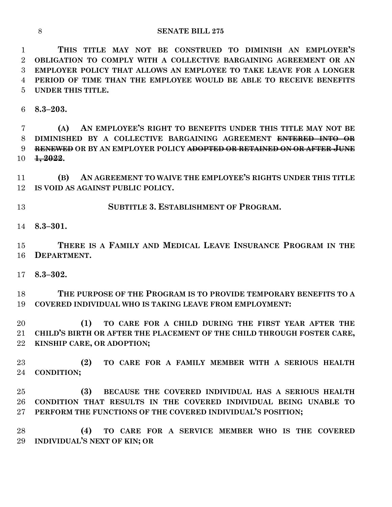**THIS TITLE MAY NOT BE CONSTRUED TO DIMINISH AN EMPLOYER'S OBLIGATION TO COMPLY WITH A COLLECTIVE BARGAINING AGREEMENT OR AN EMPLOYER POLICY THAT ALLOWS AN EMPLOYEE TO TAKE LEAVE FOR A LONGER PERIOD OF TIME THAN THE EMPLOYEE WOULD BE ABLE TO RECEIVE BENEFITS UNDER THIS TITLE.**

**8.3–203.**

 **(A) AN EMPLOYEE'S RIGHT TO BENEFITS UNDER THIS TITLE MAY NOT BE DIMINISHED BY A COLLECTIVE BARGAINING AGREEMENT ENTERED INTO OR RENEWED OR BY AN EMPLOYER POLICY ADOPTED OR RETAINED ON OR AFTER JUNE 1, 2022.**

 **(B) AN AGREEMENT TO WAIVE THE EMPLOYEE'S RIGHTS UNDER THIS TITLE IS VOID AS AGAINST PUBLIC POLICY.**

**SUBTITLE 3. ESTABLISHMENT OF PROGRAM.**

**8.3–301.**

 **THERE IS A FAMILY AND MEDICAL LEAVE INSURANCE PROGRAM IN THE DEPARTMENT.**

**8.3–302.**

 **THE PURPOSE OF THE PROGRAM IS TO PROVIDE TEMPORARY BENEFITS TO A COVERED INDIVIDUAL WHO IS TAKING LEAVE FROM EMPLOYMENT:**

 **(1) TO CARE FOR A CHILD DURING THE FIRST YEAR AFTER THE CHILD'S BIRTH OR AFTER THE PLACEMENT OF THE CHILD THROUGH FOSTER CARE, KINSHIP CARE, OR ADOPTION;**

 **(2) TO CARE FOR A FAMILY MEMBER WITH A SERIOUS HEALTH CONDITION;**

 **(3) BECAUSE THE COVERED INDIVIDUAL HAS A SERIOUS HEALTH CONDITION THAT RESULTS IN THE COVERED INDIVIDUAL BEING UNABLE TO PERFORM THE FUNCTIONS OF THE COVERED INDIVIDUAL'S POSITION;**

 **(4) TO CARE FOR A SERVICE MEMBER WHO IS THE COVERED INDIVIDUAL'S NEXT OF KIN; OR**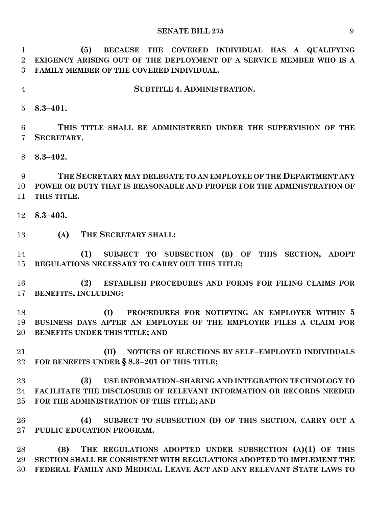**(5) BECAUSE THE COVERED INDIVIDUAL HAS A QUALIFYING EXIGENCY ARISING OUT OF THE DEPLOYMENT OF A SERVICE MEMBER WHO IS A FAMILY MEMBER OF THE COVERED INDIVIDUAL.**

**SUBTITLE 4. ADMINISTRATION.**

**8.3–401.**

 **THIS TITLE SHALL BE ADMINISTERED UNDER THE SUPERVISION OF THE SECRETARY.**

**8.3–402.**

 **THE SECRETARY MAY DELEGATE TO AN EMPLOYEE OF THE DEPARTMENT ANY POWER OR DUTY THAT IS REASONABLE AND PROPER FOR THE ADMINISTRATION OF THIS TITLE.**

- **8.3–403.**
- **(A) THE SECRETARY SHALL:**

 **(1) SUBJECT TO SUBSECTION (B) OF THIS SECTION, ADOPT REGULATIONS NECESSARY TO CARRY OUT THIS TITLE;**

 **(2) ESTABLISH PROCEDURES AND FORMS FOR FILING CLAIMS FOR BENEFITS, INCLUDING:**

 **(I) PROCEDURES FOR NOTIFYING AN EMPLOYER WITHIN 5 BUSINESS DAYS AFTER AN EMPLOYEE OF THE EMPLOYER FILES A CLAIM FOR BENEFITS UNDER THIS TITLE; AND**

 **(II) NOTICES OF ELECTIONS BY SELF–EMPLOYED INDIVIDUALS FOR BENEFITS UNDER § 8.3–201 OF THIS TITLE;**

 **(3) USE INFORMATION–SHARING AND INTEGRATION TECHNOLOGY TO FACILITATE THE DISCLOSURE OF RELEVANT INFORMATION OR RECORDS NEEDED FOR THE ADMINISTRATION OF THIS TITLE; AND**

 **(4) SUBJECT TO SUBSECTION (D) OF THIS SECTION, CARRY OUT A PUBLIC EDUCATION PROGRAM.**

 **(B) THE REGULATIONS ADOPTED UNDER SUBSECTION (A)(1) OF THIS SECTION SHALL BE CONSISTENT WITH REGULATIONS ADOPTED TO IMPLEMENT THE FEDERAL FAMILY AND MEDICAL LEAVE ACT AND ANY RELEVANT STATE LAWS TO**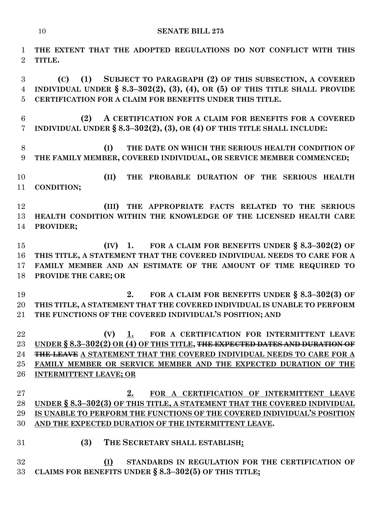**THE EXTENT THAT THE ADOPTED REGULATIONS DO NOT CONFLICT WITH THIS TITLE.**

 **(C) (1) SUBJECT TO PARAGRAPH (2) OF THIS SUBSECTION, A COVERED INDIVIDUAL UNDER § 8.3–302(2), (3), (4), OR (5) OF THIS TITLE SHALL PROVIDE CERTIFICATION FOR A CLAIM FOR BENEFITS UNDER THIS TITLE.**

 **(2) A CERTIFICATION FOR A CLAIM FOR BENEFITS FOR A COVERED INDIVIDUAL UNDER § 8.3–302(2), (3), OR (4) OF THIS TITLE SHALL INCLUDE:**

 **(I) THE DATE ON WHICH THE SERIOUS HEALTH CONDITION OF THE FAMILY MEMBER, COVERED INDIVIDUAL, OR SERVICE MEMBER COMMENCED;**

 **(II) THE PROBABLE DURATION OF THE SERIOUS HEALTH CONDITION;**

 **(III) THE APPROPRIATE FACTS RELATED TO THE SERIOUS HEALTH CONDITION WITHIN THE KNOWLEDGE OF THE LICENSED HEALTH CARE PROVIDER;**

 **(IV) 1. FOR A CLAIM FOR BENEFITS UNDER § 8.3–302(2) OF THIS TITLE, A STATEMENT THAT THE COVERED INDIVIDUAL NEEDS TO CARE FOR A FAMILY MEMBER AND AN ESTIMATE OF THE AMOUNT OF TIME REQUIRED TO PROVIDE THE CARE; OR**

 **2. FOR A CLAIM FOR BENEFITS UNDER § 8.3–302(3) OF THIS TITLE, A STATEMENT THAT THE COVERED INDIVIDUAL IS UNABLE TO PERFORM THE FUNCTIONS OF THE COVERED INDIVIDUAL'S POSITION; AND**

 **(V) 1. FOR A CERTIFICATION FOR INTERMITTENT LEAVE UNDER § 8.3–302(2) OR (4) OF THIS TITLE, THE EXPECTED DATES AND DURATION OF THE LEAVE A STATEMENT THAT THE COVERED INDIVIDUAL NEEDS TO CARE FOR A FAMILY MEMBER OR SERVICE MEMBER AND THE EXPECTED DURATION OF THE INTERMITTENT LEAVE; OR**

 **2. FOR A CERTIFICATION OF INTERMITTENT LEAVE UNDER § 8.3–302(3) OF THIS TITLE, A STATEMENT THAT THE COVERED INDIVIDUAL IS UNABLE TO PERFORM THE FUNCTIONS OF THE COVERED INDIVIDUAL'S POSITION AND THE EXPECTED DURATION OF THE INTERMITTENT LEAVE.**

**(3) THE SECRETARY SHALL ESTABLISH:**

 **(I) STANDARDS IN REGULATION FOR THE CERTIFICATION OF CLAIMS FOR BENEFITS UNDER § 8.3–302(5) OF THIS TITLE;**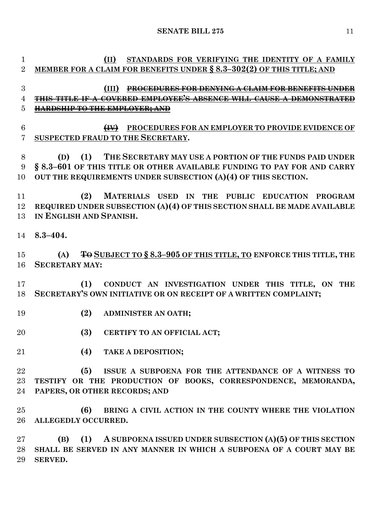**(II) STANDARDS FOR VERIFYING THE IDENTITY OF A FAMILY** 

 **MEMBER FOR A CLAIM FOR BENEFITS UNDER § 8.3–302(2) OF THIS TITLE; AND (III) PROCEDURES FOR DENYING A CLAIM FOR BENEFITS UNDER THIS TITLE IF A COVERED EMPLOYEE'S ABSENCE WILL CAUSE A DEMONSTRATED HARDSHIP TO THE EMPLOYER; AND (IV) PROCEDURES FOR AN EMPLOYER TO PROVIDE EVIDENCE OF SUSPECTED FRAUD TO THE SECRETARY. (D) (1) THE SECRETARY MAY USE A PORTION OF THE FUNDS PAID UNDER § 8.3–601 OF THIS TITLE OR OTHER AVAILABLE FUNDING TO PAY FOR AND CARRY OUT THE REQUIREMENTS UNDER SUBSECTION (A)(4) OF THIS SECTION. (2) MATERIALS USED IN THE PUBLIC EDUCATION PROGRAM REQUIRED UNDER SUBSECTION (A)(4) OF THIS SECTION SHALL BE MADE AVAILABLE IN ENGLISH AND SPANISH. 8.3–404. (A) TO SUBJECT TO § 8.3–905 OF THIS TITLE, TO ENFORCE THIS TITLE, THE SECRETARY MAY: (1) CONDUCT AN INVESTIGATION UNDER THIS TITLE, ON THE SECRETARY'S OWN INITIATIVE OR ON RECEIPT OF A WRITTEN COMPLAINT; (2) ADMINISTER AN OATH; (3) CERTIFY TO AN OFFICIAL ACT; (4) TAKE A DEPOSITION; (5) ISSUE A SUBPOENA FOR THE ATTENDANCE OF A WITNESS TO TESTIFY OR THE PRODUCTION OF BOOKS, CORRESPONDENCE, MEMORANDA, PAPERS, OR OTHER RECORDS; AND (6) BRING A CIVIL ACTION IN THE COUNTY WHERE THE VIOLATION ALLEGEDLY OCCURRED. (B) (1) A SUBPOENA ISSUED UNDER SUBSECTION (A)(5) OF THIS SECTION SHALL BE SERVED IN ANY MANNER IN WHICH A SUBPOENA OF A COURT MAY BE SERVED.**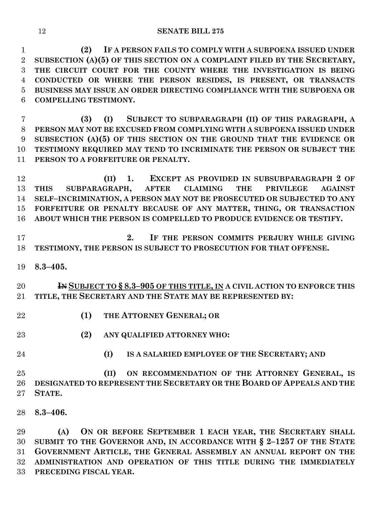**(2) IF A PERSON FAILS TO COMPLY WITH A SUBPOENA ISSUED UNDER SUBSECTION (A)(5) OF THIS SECTION ON A COMPLAINT FILED BY THE SECRETARY, THE CIRCUIT COURT FOR THE COUNTY WHERE THE INVESTIGATION IS BEING CONDUCTED OR WHERE THE PERSON RESIDES, IS PRESENT, OR TRANSACTS BUSINESS MAY ISSUE AN ORDER DIRECTING COMPLIANCE WITH THE SUBPOENA OR COMPELLING TESTIMONY.**

 **(3) (I) SUBJECT TO SUBPARAGRAPH (II) OF THIS PARAGRAPH, A PERSON MAY NOT BE EXCUSED FROM COMPLYING WITH A SUBPOENA ISSUED UNDER SUBSECTION (A)(5) OF THIS SECTION ON THE GROUND THAT THE EVIDENCE OR TESTIMONY REQUIRED MAY TEND TO INCRIMINATE THE PERSON OR SUBJECT THE PERSON TO A FORFEITURE OR PENALTY.**

 **(II) 1. EXCEPT AS PROVIDED IN SUBSUBPARAGRAPH 2 OF THIS SUBPARAGRAPH, AFTER CLAIMING THE PRIVILEGE AGAINST SELF–INCRIMINATION, A PERSON MAY NOT BE PROSECUTED OR SUBJECTED TO ANY FORFEITURE OR PENALTY BECAUSE OF ANY MATTER, THING, OR TRANSACTION ABOUT WHICH THE PERSON IS COMPELLED TO PRODUCE EVIDENCE OR TESTIFY.**

 **2. IF THE PERSON COMMITS PERJURY WHILE GIVING TESTIMONY, THE PERSON IS SUBJECT TO PROSECUTION FOR THAT OFFENSE.**

**8.3–405.**

 **IN SUBJECT TO § 8.3–905 OF THIS TITLE, IN A CIVIL ACTION TO ENFORCE THIS TITLE, THE SECRETARY AND THE STATE MAY BE REPRESENTED BY:**

- **(1) THE ATTORNEY GENERAL; OR**
- **(2) ANY QUALIFIED ATTORNEY WHO:**
- 
- **(I) IS A SALARIED EMPLOYEE OF THE SECRETARY; AND**

 **(II) ON RECOMMENDATION OF THE ATTORNEY GENERAL, IS DESIGNATED TO REPRESENT THE SECRETARY OR THE BOARD OF APPEALS AND THE STATE.**

**8.3–406.**

 **(A) ON OR BEFORE SEPTEMBER 1 EACH YEAR, THE SECRETARY SHALL SUBMIT TO THE GOVERNOR AND, IN ACCORDANCE WITH § 2–1257 OF THE STATE GOVERNMENT ARTICLE, THE GENERAL ASSEMBLY AN ANNUAL REPORT ON THE ADMINISTRATION AND OPERATION OF THIS TITLE DURING THE IMMEDIATELY PRECEDING FISCAL YEAR.**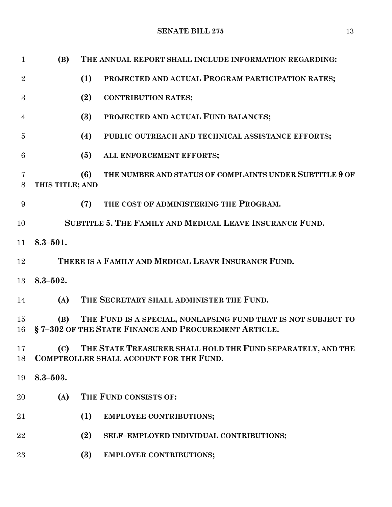| $\mathbf{1}$   | (B)             | THE ANNUAL REPORT SHALL INCLUDE INFORMATION REGARDING:                                                                |
|----------------|-----------------|-----------------------------------------------------------------------------------------------------------------------|
| $\overline{2}$ |                 | (1)<br>PROJECTED AND ACTUAL PROGRAM PARTICIPATION RATES;                                                              |
| 3              |                 | (2)<br><b>CONTRIBUTION RATES;</b>                                                                                     |
| 4              |                 | (3)<br>PROJECTED AND ACTUAL FUND BALANCES;                                                                            |
| $\overline{5}$ |                 | (4)<br>PUBLIC OUTREACH AND TECHNICAL ASSISTANCE EFFORTS;                                                              |
| 6              |                 | (5)<br>ALL ENFORCEMENT EFFORTS;                                                                                       |
| 7<br>8         | THIS TITLE; AND | THE NUMBER AND STATUS OF COMPLAINTS UNDER SUBTITLE 9 OF<br>(6)                                                        |
| 9              |                 | THE COST OF ADMINISTERING THE PROGRAM.<br>(7)                                                                         |
| 10             |                 | SUBTITLE 5. THE FAMILY AND MEDICAL LEAVE INSURANCE FUND.                                                              |
| 11             | $8.3 - 501.$    |                                                                                                                       |
| 12             |                 | THERE IS A FAMILY AND MEDICAL LEAVE INSURANCE FUND.                                                                   |
| 13             | $8.3 - 502.$    |                                                                                                                       |
| 14             | (A)             | THE SECRETARY SHALL ADMINISTER THE FUND.                                                                              |
| 15<br>16       | (B)             | THE FUND IS A SPECIAL, NONLAPSING FUND THAT IS NOT SUBJECT TO<br>§7-302 OF THE STATE FINANCE AND PROCUREMENT ARTICLE. |
| 17<br>18       | (C)             | THE STATE TREASURER SHALL HOLD THE FUND SEPARATELY, AND THE<br>COMPTROLLER SHALL ACCOUNT FOR THE FUND.                |
| 19             | $8.3 - 503.$    |                                                                                                                       |
| $20\,$         | (A)             | THE FUND CONSISTS OF:                                                                                                 |
| 21             |                 | (1)<br><b>EMPLOYEE CONTRIBUTIONS;</b>                                                                                 |
| 22             |                 | (2)<br>SELF-EMPLOYED INDIVIDUAL CONTRIBUTIONS;                                                                        |
| 23             |                 | (3)<br><b>EMPLOYER CONTRIBUTIONS;</b>                                                                                 |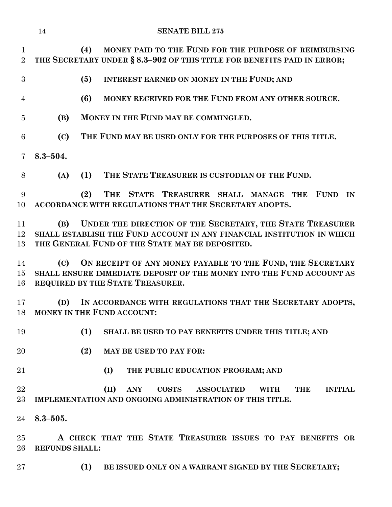|                                | 14                    | <b>SENATE BILL 275</b>                                                                                                                  |
|--------------------------------|-----------------------|-----------------------------------------------------------------------------------------------------------------------------------------|
| $\mathbf{1}$<br>$\overline{2}$ |                       | MONEY PAID TO THE FUND FOR THE PURPOSE OF REIMBURSING<br>(4)<br>THE SECRETARY UNDER § 8.3-902 OF THIS TITLE FOR BENEFITS PAID IN ERROR; |
| 3                              |                       | (5)<br>INTEREST EARNED ON MONEY IN THE FUND; AND                                                                                        |
| $\overline{4}$                 |                       | MONEY RECEIVED FOR THE FUND FROM ANY OTHER SOURCE.<br>(6)                                                                               |
| $\overline{5}$                 | (B)                   | MONEY IN THE FUND MAY BE COMMINGLED.                                                                                                    |
| 6                              | (C)                   | THE FUND MAY BE USED ONLY FOR THE PURPOSES OF THIS TITLE.                                                                               |
| $\overline{7}$                 | $8.3 - 504.$          |                                                                                                                                         |
| 8                              | (A)                   | THE STATE TREASURER IS CUSTODIAN OF THE FUND.<br>(1)                                                                                    |
| 9<br>10                        |                       | THE<br>(2)<br>STATE TREASURER SHALL MANAGE THE<br><b>FUND</b><br>IN<br>ACCORDANCE WITH REGULATIONS THAT THE SECRETARY ADOPTS.           |
| 11                             | (B)                   | UNDER THE DIRECTION OF THE SECRETARY, THE STATE TREASURER                                                                               |
| 12                             |                       | SHALL ESTABLISH THE FUND ACCOUNT IN ANY FINANCIAL INSTITUTION IN WHICH                                                                  |
| 13                             |                       | THE GENERAL FUND OF THE STATE MAY BE DEPOSITED.                                                                                         |
| 14                             | (C)                   | ON RECEIPT OF ANY MONEY PAYABLE TO THE FUND, THE SECRETARY                                                                              |
| 15 <sup>15</sup>               |                       | SHALL ENSURE IMMEDIATE DEPOSIT OF THE MONEY INTO THE FUND ACCOUNT AS                                                                    |
| 16                             |                       | REQUIRED BY THE STATE TREASURER.                                                                                                        |
| 17                             | (D)                   | IN ACCORDANCE WITH REGULATIONS THAT THE SECRETARY ADOPTS,                                                                               |
|                                |                       | 18 MONEY IN THE FUND ACCOUNT:                                                                                                           |
| 19                             |                       | (1)<br>SHALL BE USED TO PAY BENEFITS UNDER THIS TITLE; AND                                                                              |
| 20                             |                       | (2)<br><b>MAY BE USED TO PAY FOR:</b>                                                                                                   |
| 21                             |                       | (I)<br>THE PUBLIC EDUCATION PROGRAM; AND                                                                                                |
| 22                             |                       | (II)<br><b>ANY</b><br><b>COSTS</b><br><b>ASSOCIATED</b><br><b>WITH</b><br><b>THE</b><br><b>INITIAL</b>                                  |
| 23                             |                       | IMPLEMENTATION AND ONGOING ADMINISTRATION OF THIS TITLE.                                                                                |
| 24                             | $8.3 - 505.$          |                                                                                                                                         |
| 25                             |                       | A CHECK THAT THE STATE TREASURER ISSUES TO PAY BENEFITS OR                                                                              |
| 26                             | <b>REFUNDS SHALL:</b> |                                                                                                                                         |
| $27\,$                         |                       | BE ISSUED ONLY ON A WARRANT SIGNED BY THE SECRETARY;<br>(1)                                                                             |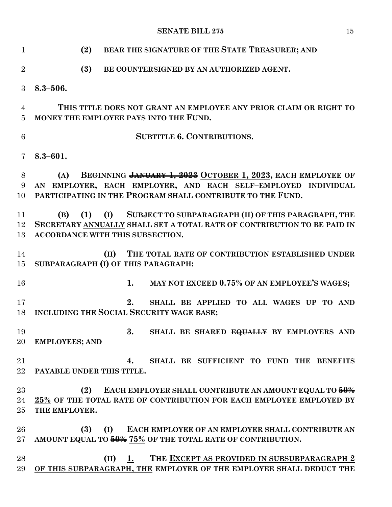| $\mathbf{1}$   | (2)<br>BEAR THE SIGNATURE OF THE STATE TREASURER; AND                                                                                  |
|----------------|----------------------------------------------------------------------------------------------------------------------------------------|
| $\overline{2}$ | (3)<br>BE COUNTERSIGNED BY AN AUTHORIZED AGENT.                                                                                        |
| 3              | $8.3 - 506.$                                                                                                                           |
| $\overline{4}$ | THIS TITLE DOES NOT GRANT AN EMPLOYEE ANY PRIOR CLAIM OR RIGHT TO                                                                      |
| 5              | MONEY THE EMPLOYEE PAYS INTO THE FUND.                                                                                                 |
| 6              | <b>SUBTITLE 6. CONTRIBUTIONS.</b>                                                                                                      |
| $\overline{7}$ | $8.3 - 601.$                                                                                                                           |
| 8              | BEGINNING JANUARY 1, 2023 OCTOBER 1, 2023, EACH EMPLOYEE OF<br>(A)                                                                     |
| 9              | AN EMPLOYER, EACH EMPLOYER, AND EACH SELF-EMPLOYED INDIVIDUAL                                                                          |
| 10             | PARTICIPATING IN THE PROGRAM SHALL CONTRIBUTE TO THE FUND.                                                                             |
| 11             | (1) (I) SUBJECT TO SUBPARAGRAPH (II) OF THIS PARAGRAPH, THE<br>(B)                                                                     |
| 12             | SECRETARY ANNUALLY SHALL SET A TOTAL RATE OF CONTRIBUTION TO BE PAID IN                                                                |
| 13             | ACCORDANCE WITH THIS SUBSECTION.                                                                                                       |
| 14             | THE TOTAL RATE OF CONTRIBUTION ESTABLISHED UNDER<br>(II)                                                                               |
| 15             | SUBPARAGRAPH (I) OF THIS PARAGRAPH:                                                                                                    |
| 16             | MAY NOT EXCEED 0.75% OF AN EMPLOYEE'S WAGES;<br>1.                                                                                     |
| 17             | 2.<br>SHALL BE APPLIED TO ALL WAGES UP TO AND                                                                                          |
| 18             | INCLUDING THE SOCIAL SECURITY WAGE BASE;                                                                                               |
| 19             | 3. SHALL BE SHARED EQUALLY BY EMPLOYERS AND                                                                                            |
| 20             | <b>EMPLOYEES; AND</b>                                                                                                                  |
| 21             | SHALL BE SUFFICIENT TO FUND THE BENEFITS<br>4.                                                                                         |
| $22\,$         | PAYABLE UNDER THIS TITLE.                                                                                                              |
|                |                                                                                                                                        |
| 23<br>24       | EACH EMPLOYER SHALL CONTRIBUTE AN AMOUNT EQUAL TO $50\%$<br>(2)<br>25% OF THE TOTAL RATE OF CONTRIBUTION FOR EACH EMPLOYEE EMPLOYED BY |
| 25             | THE EMPLOYER.                                                                                                                          |
| 26             | EACH EMPLOYEE OF AN EMPLOYER SHALL CONTRIBUTE AN<br>(3)<br>(I)                                                                         |
| $\rm 27$       | AMOUNT EQUAL TO 50% 75% OF THE TOTAL RATE OF CONTRIBUTION.                                                                             |
| 28             | <b>THE EXCEPT AS PROVIDED IN SUBSUBPARAGRAPH 2</b><br>1.<br>(II)                                                                       |
| 29             | OF THIS SUBPARAGRAPH, THE EMPLOYER OF THE EMPLOYEE SHALL DEDUCT THE                                                                    |
|                |                                                                                                                                        |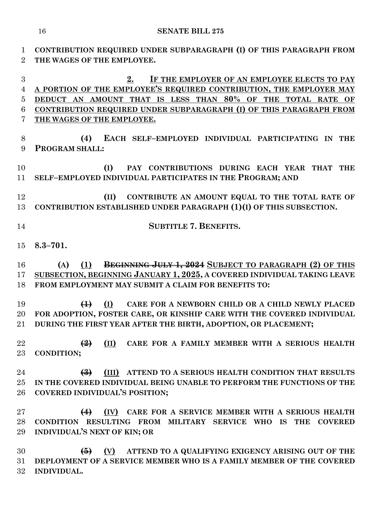**CONTRIBUTION REQUIRED UNDER SUBPARAGRAPH (I) OF THIS PARAGRAPH FROM THE WAGES OF THE EMPLOYEE. 2. IF THE EMPLOYER OF AN EMPLOYEE ELECTS TO PAY A PORTION OF THE EMPLOYEE'S REQUIRED CONTRIBUTION, THE EMPLOYER MAY DEDUCT AN AMOUNT THAT IS LESS THAN 80% OF THE TOTAL RATE OF CONTRIBUTION REQUIRED UNDER SUBPARAGRAPH (I) OF THIS PARAGRAPH FROM THE WAGES OF THE EMPLOYEE. (4) EACH SELF–EMPLOYED INDIVIDUAL PARTICIPATING IN THE PROGRAM SHALL: (I) PAY CONTRIBUTIONS DURING EACH YEAR THAT THE SELF–EMPLOYED INDIVIDUAL PARTICIPATES IN THE PROGRAM; AND (II) CONTRIBUTE AN AMOUNT EQUAL TO THE TOTAL RATE OF CONTRIBUTION ESTABLISHED UNDER PARAGRAPH (1)(I) OF THIS SUBSECTION. SUBTITLE 7. BENEFITS. 8.3–701. (A) (1) BEGINNING JULY 1, 2024 SUBJECT TO PARAGRAPH (2) OF THIS SUBSECTION, BEGINNING JANUARY 1, 2025, A COVERED INDIVIDUAL TAKING LEAVE FROM EMPLOYMENT MAY SUBMIT A CLAIM FOR BENEFITS TO: (1) (I) CARE FOR A NEWBORN CHILD OR A CHILD NEWLY PLACED FOR ADOPTION, FOSTER CARE, OR KINSHIP CARE WITH THE COVERED INDIVIDUAL DURING THE FIRST YEAR AFTER THE BIRTH, ADOPTION, OR PLACEMENT; (2) (II) CARE FOR A FAMILY MEMBER WITH A SERIOUS HEALTH CONDITION; (3) (III) ATTEND TO A SERIOUS HEALTH CONDITION THAT RESULTS IN THE COVERED INDIVIDUAL BEING UNABLE TO PERFORM THE FUNCTIONS OF THE COVERED INDIVIDUAL'S POSITION; (4) (IV) CARE FOR A SERVICE MEMBER WITH A SERIOUS HEALTH CONDITION RESULTING FROM MILITARY SERVICE WHO IS THE COVERED INDIVIDUAL'S NEXT OF KIN; OR (5) (V) ATTEND TO A QUALIFYING EXIGENCY ARISING OUT OF THE DEPLOYMENT OF A SERVICE MEMBER WHO IS A FAMILY MEMBER OF THE COVERED INDIVIDUAL.**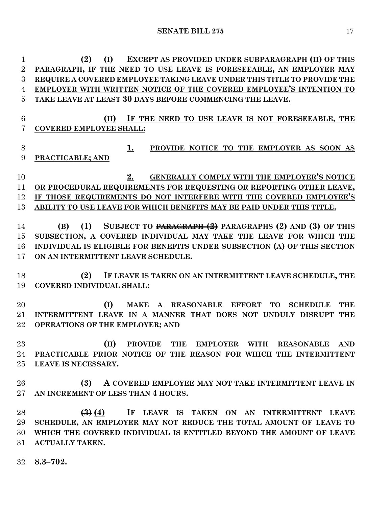**(2) (I) EXCEPT AS PROVIDED UNDER SUBPARAGRAPH (II) OF THIS PARAGRAPH, IF THE NEED TO USE LEAVE IS FORESEEABLE, AN EMPLOYER MAY REQUIRE A COVERED EMPLOYEE TAKING LEAVE UNDER THIS TITLE TO PROVIDE THE EMPLOYER WITH WRITTEN NOTICE OF THE COVERED EMPLOYEE'S INTENTION TO TAKE LEAVE AT LEAST 30 DAYS BEFORE COMMENCING THE LEAVE. (II) IF THE NEED TO USE LEAVE IS NOT FORESEEABLE, THE COVERED EMPLOYEE SHALL: 1. PROVIDE NOTICE TO THE EMPLOYER AS SOON AS PRACTICABLE; AND 2. GENERALLY COMPLY WITH THE EMPLOYER'S NOTICE OR PROCEDURAL REQUIREMENTS FOR REQUESTING OR REPORTING OTHER LEAVE, IF THOSE REQUIREMENTS DO NOT INTERFERE WITH THE COVERED EMPLOYEE'S ABILITY TO USE LEAVE FOR WHICH BENEFITS MAY BE PAID UNDER THIS TITLE. (B) (1) SUBJECT TO PARAGRAPH (2) PARAGRAPHS (2) AND (3) OF THIS SUBSECTION, A COVERED INDIVIDUAL MAY TAKE THE LEAVE FOR WHICH THE INDIVIDUAL IS ELIGIBLE FOR BENEFITS UNDER SUBSECTION (A) OF THIS SECTION ON AN INTERMITTENT LEAVE SCHEDULE. (2) IF LEAVE IS TAKEN ON AN INTERMITTENT LEAVE SCHEDULE, THE COVERED INDIVIDUAL SHALL: (I) MAKE A REASONABLE EFFORT TO SCHEDULE THE INTERMITTENT LEAVE IN A MANNER THAT DOES NOT UNDULY DISRUPT THE OPERATIONS OF THE EMPLOYER; AND (II) PROVIDE THE EMPLOYER WITH REASONABLE AND PRACTICABLE PRIOR NOTICE OF THE REASON FOR WHICH THE INTERMITTENT LEAVE IS NECESSARY. (3) A COVERED EMPLOYEE MAY NOT TAKE INTERMITTENT LEAVE IN AN INCREMENT OF LESS THAN 4 HOURS. (3) (4) IF LEAVE IS TAKEN ON AN INTERMITTENT LEAVE SCHEDULE, AN EMPLOYER MAY NOT REDUCE THE TOTAL AMOUNT OF LEAVE TO WHICH THE COVERED INDIVIDUAL IS ENTITLED BEYOND THE AMOUNT OF LEAVE ACTUALLY TAKEN. 8.3–702.**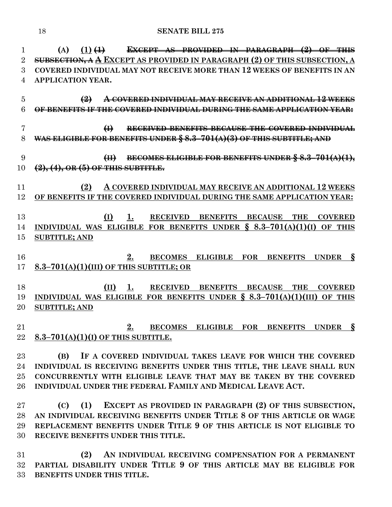**(A) (1) (1) EXCEPT AS PROVIDED IN PARAGRAPH (2) OF THIS SUBSECTION, A A EXCEPT AS PROVIDED IN PARAGRAPH (2) OF THIS SUBSECTION, A COVERED INDIVIDUAL MAY NOT RECEIVE MORE THAN 12 WEEKS OF BENEFITS IN AN APPLICATION YEAR. (2) A COVERED INDIVIDUAL MAY RECEIVE AN ADDITIONAL 12 WEEKS OF BENEFITS IF THE COVERED INDIVIDUAL DURING THE SAME APPLICATION YEAR: (I) RECEIVED BENEFITS BECAUSE THE COVERED INDIVIDUAL WAS ELIGIBLE FOR BENEFITS UNDER § 8.3–701(A)(3) OF THIS SUBTITLE; AND (II) BECOMES ELIGIBLE FOR BENEFITS UNDER § 8.3–701(A)(1), (2), (4), OR (5) OF THIS SUBTITLE. (2) A COVERED INDIVIDUAL MAY RECEIVE AN ADDITIONAL 12 WEEKS OF BENEFITS IF THE COVERED INDIVIDUAL DURING THE SAME APPLICATION YEAR: (I) 1. RECEIVED BENEFITS BECAUSE THE COVERED INDIVIDUAL WAS ELIGIBLE FOR BENEFITS UNDER § 8.3–701(A)(1)(I) OF THIS SUBTITLE; AND 2. BECOMES ELIGIBLE FOR BENEFITS UNDER § 8.3–701(A)(1)(III) OF THIS SUBTITLE; OR (II) 1. RECEIVED BENEFITS BECAUSE THE COVERED INDIVIDUAL WAS ELIGIBLE FOR BENEFITS UNDER § 8.3–701(A)(1)(III) OF THIS SUBTITLE; AND 2. BECOMES ELIGIBLE FOR BENEFITS UNDER § 8.3–701(A)(1)(I) OF THIS SUBTITLE. (B) IF A COVERED INDIVIDUAL TAKES LEAVE FOR WHICH THE COVERED INDIVIDUAL IS RECEIVING BENEFITS UNDER THIS TITLE, THE LEAVE SHALL RUN** 

 **CONCURRENTLY WITH ELIGIBLE LEAVE THAT MAY BE TAKEN BY THE COVERED INDIVIDUAL UNDER THE FEDERAL FAMILY AND MEDICAL LEAVE ACT.**

 **(C) (1) EXCEPT AS PROVIDED IN PARAGRAPH (2) OF THIS SUBSECTION, AN INDIVIDUAL RECEIVING BENEFITS UNDER TITLE 8 OF THIS ARTICLE OR WAGE REPLACEMENT BENEFITS UNDER TITLE 9 OF THIS ARTICLE IS NOT ELIGIBLE TO RECEIVE BENEFITS UNDER THIS TITLE.**

 **(2) AN INDIVIDUAL RECEIVING COMPENSATION FOR A PERMANENT PARTIAL DISABILITY UNDER TITLE 9 OF THIS ARTICLE MAY BE ELIGIBLE FOR BENEFITS UNDER THIS TITLE.**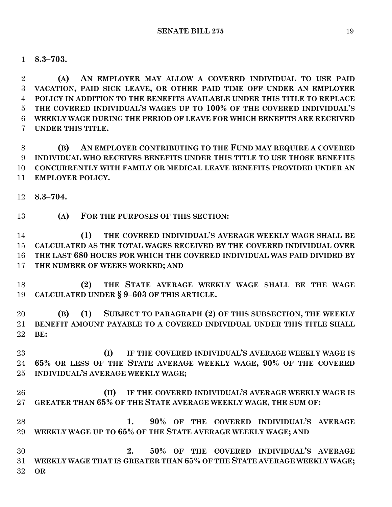**8.3–703.**

 **(A) AN EMPLOYER MAY ALLOW A COVERED INDIVIDUAL TO USE PAID VACATION, PAID SICK LEAVE, OR OTHER PAID TIME OFF UNDER AN EMPLOYER POLICY IN ADDITION TO THE BENEFITS AVAILABLE UNDER THIS TITLE TO REPLACE THE COVERED INDIVIDUAL'S WAGES UP TO 100% OF THE COVERED INDIVIDUAL'S WEEKLY WAGE DURING THE PERIOD OF LEAVE FOR WHICH BENEFITS ARE RECEIVED UNDER THIS TITLE.**

 **(B) AN EMPLOYER CONTRIBUTING TO THE FUND MAY REQUIRE A COVERED INDIVIDUAL WHO RECEIVES BENEFITS UNDER THIS TITLE TO USE THOSE BENEFITS CONCURRENTLY WITH FAMILY OR MEDICAL LEAVE BENEFITS PROVIDED UNDER AN EMPLOYER POLICY.**

**8.3–704.**

**(A) FOR THE PURPOSES OF THIS SECTION:**

 **(1) THE COVERED INDIVIDUAL'S AVERAGE WEEKLY WAGE SHALL BE CALCULATED AS THE TOTAL WAGES RECEIVED BY THE COVERED INDIVIDUAL OVER THE LAST 680 HOURS FOR WHICH THE COVERED INDIVIDUAL WAS PAID DIVIDED BY THE NUMBER OF WEEKS WORKED; AND**

 **(2) THE STATE AVERAGE WEEKLY WAGE SHALL BE THE WAGE CALCULATED UNDER § 9–603 OF THIS ARTICLE.**

 **(B) (1) SUBJECT TO PARAGRAPH (2) OF THIS SUBSECTION, THE WEEKLY BENEFIT AMOUNT PAYABLE TO A COVERED INDIVIDUAL UNDER THIS TITLE SHALL BE:**

 **(I) IF THE COVERED INDIVIDUAL'S AVERAGE WEEKLY WAGE IS 65% OR LESS OF THE STATE AVERAGE WEEKLY WAGE, 90% OF THE COVERED INDIVIDUAL'S AVERAGE WEEKLY WAGE;**

 **(II) IF THE COVERED INDIVIDUAL'S AVERAGE WEEKLY WAGE IS GREATER THAN 65% OF THE STATE AVERAGE WEEKLY WAGE, THE SUM OF:**

 **1. 90% OF THE COVERED INDIVIDUAL'S AVERAGE WEEKLY WAGE UP TO 65% OF THE STATE AVERAGE WEEKLY WAGE; AND**

 **2. 50% OF THE COVERED INDIVIDUAL'S AVERAGE WEEKLY WAGE THAT IS GREATER THAN 65% OF THE STATE AVERAGE WEEKLY WAGE; OR**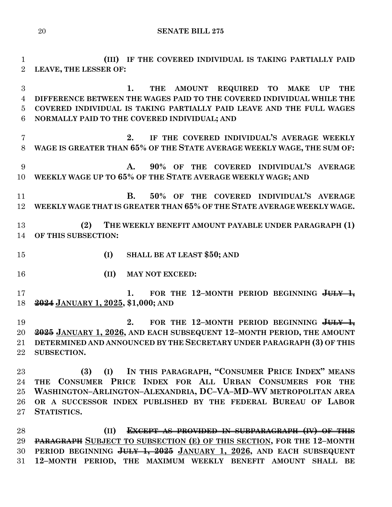**(III) IF THE COVERED INDIVIDUAL IS TAKING PARTIALLY PAID LEAVE, THE LESSER OF: 1. THE AMOUNT REQUIRED TO MAKE UP THE DIFFERENCE BETWEEN THE WAGES PAID TO THE COVERED INDIVIDUAL WHILE THE COVERED INDIVIDUAL IS TAKING PARTIALLY PAID LEAVE AND THE FULL WAGES NORMALLY PAID TO THE COVERED INDIVIDUAL; AND 2. IF THE COVERED INDIVIDUAL'S AVERAGE WEEKLY WAGE IS GREATER THAN 65% OF THE STATE AVERAGE WEEKLY WAGE, THE SUM OF: A. 90% OF THE COVERED INDIVIDUAL'S AVERAGE WEEKLY WAGE UP TO 65% OF THE STATE AVERAGE WEEKLY WAGE; AND B. 50% OF THE COVERED INDIVIDUAL'S AVERAGE WEEKLY WAGE THAT IS GREATER THAN 65% OF THE STATE AVERAGE WEEKLY WAGE. (2) THE WEEKLY BENEFIT AMOUNT PAYABLE UNDER PARAGRAPH (1) OF THIS SUBSECTION: (I) SHALL BE AT LEAST \$50; AND (II) MAY NOT EXCEED: 1. FOR THE 12–MONTH PERIOD BEGINNING JULY 1, 2024 JANUARY 1, 2025, \$1,000; AND 2. FOR THE 12–MONTH PERIOD BEGINNING JULY 1, 2025 JANUARY 1, 2026, AND EACH SUBSEQUENT 12–MONTH PERIOD, THE AMOUNT DETERMINED AND ANNOUNCED BY THE SECRETARY UNDER PARAGRAPH (3) OF THIS SUBSECTION. (3) (I) IN THIS PARAGRAPH, "CONSUMER PRICE INDEX" MEANS THE CONSUMER PRICE INDEX FOR ALL URBAN CONSUMERS FOR THE WASHINGTON–ARLINGTON–ALEXANDRIA, DC–VA–MD–WV METROPOLITAN AREA OR A SUCCESSOR INDEX PUBLISHED BY THE FEDERAL BUREAU OF LABOR STATISTICS. (II) EXCEPT AS PROVIDED IN SUBPARAGRAPH (IV) OF THIS PARAGRAPH SUBJECT TO SUBSECTION (E) OF THIS SECTION, FOR THE 12–MONTH** 

 **PERIOD BEGINNING JULY 1, 2025 JANUARY 1, 2026, AND EACH SUBSEQUENT 12–MONTH PERIOD, THE MAXIMUM WEEKLY BENEFIT AMOUNT SHALL BE**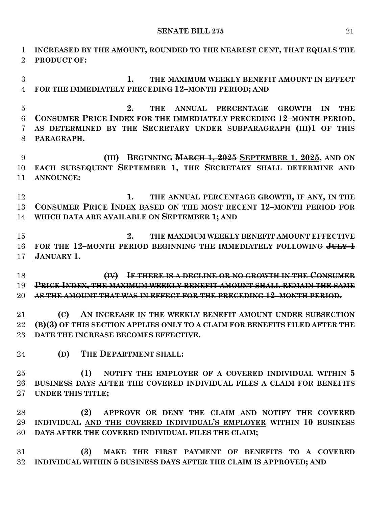**INCREASED BY THE AMOUNT, ROUNDED TO THE NEAREST CENT, THAT EQUALS THE PRODUCT OF:**

 **1. THE MAXIMUM WEEKLY BENEFIT AMOUNT IN EFFECT FOR THE IMMEDIATELY PRECEDING 12–MONTH PERIOD; AND**

 **2. THE ANNUAL PERCENTAGE GROWTH IN THE CONSUMER PRICE INDEX FOR THE IMMEDIATELY PRECEDING 12–MONTH PERIOD, AS DETERMINED BY THE SECRETARY UNDER SUBPARAGRAPH (III)1 OF THIS PARAGRAPH.**

 **(III) BEGINNING MARCH 1, 2025 SEPTEMBER 1, 2025, AND ON EACH SUBSEQUENT SEPTEMBER 1, THE SECRETARY SHALL DETERMINE AND ANNOUNCE:**

 **1. THE ANNUAL PERCENTAGE GROWTH, IF ANY, IN THE CONSUMER PRICE INDEX BASED ON THE MOST RECENT 12–MONTH PERIOD FOR WHICH DATA ARE AVAILABLE ON SEPTEMBER 1; AND**

 **2. THE MAXIMUM WEEKLY BENEFIT AMOUNT EFFECTIVE FOR THE 12–MONTH PERIOD BEGINNING THE IMMEDIATELY FOLLOWING JULY 1 JANUARY 1.**

 **(IV) IF THERE IS A DECLINE OR NO GROWTH IN THE CONSUMER PRICE INDEX, THE MAXIMUM WEEKLY BENEFIT AMOUNT SHALL REMAIN THE SAME AS THE AMOUNT THAT WAS IN EFFECT FOR THE PRECEDING 12–MONTH PERIOD.**

 **(C) AN INCREASE IN THE WEEKLY BENEFIT AMOUNT UNDER SUBSECTION (B)(3) OF THIS SECTION APPLIES ONLY TO A CLAIM FOR BENEFITS FILED AFTER THE DATE THE INCREASE BECOMES EFFECTIVE.**

**(D) THE DEPARTMENT SHALL:**

 **(1) NOTIFY THE EMPLOYER OF A COVERED INDIVIDUAL WITHIN 5 BUSINESS DAYS AFTER THE COVERED INDIVIDUAL FILES A CLAIM FOR BENEFITS UNDER THIS TITLE;**

 **(2) APPROVE OR DENY THE CLAIM AND NOTIFY THE COVERED INDIVIDUAL AND THE COVERED INDIVIDUAL'S EMPLOYER WITHIN 10 BUSINESS DAYS AFTER THE COVERED INDIVIDUAL FILES THE CLAIM;**

 **(3) MAKE THE FIRST PAYMENT OF BENEFITS TO A COVERED INDIVIDUAL WITHIN 5 BUSINESS DAYS AFTER THE CLAIM IS APPROVED; AND**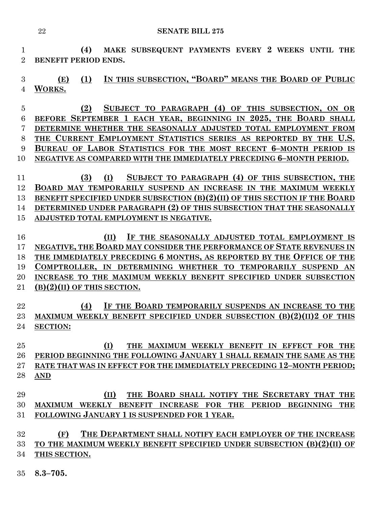**(4) MAKE SUBSEQUENT PAYMENTS EVERY 2 WEEKS UNTIL THE BENEFIT PERIOD ENDS.**

 **(E) (1) IN THIS SUBSECTION, "BOARD" MEANS THE BOARD OF PUBLIC WORKS.**

 **(2) SUBJECT TO PARAGRAPH (4) OF THIS SUBSECTION, ON OR BEFORE SEPTEMBER 1 EACH YEAR, BEGINNING IN 2025, THE BOARD SHALL DETERMINE WHETHER THE SEASONALLY ADJUSTED TOTAL EMPLOYMENT FROM THE CURRENT EMPLOYMENT STATISTICS SERIES AS REPORTED BY THE U.S. BUREAU OF LABOR STATISTICS FOR THE MOST RECENT 6–MONTH PERIOD IS NEGATIVE AS COMPARED WITH THE IMMEDIATELY PRECEDING 6–MONTH PERIOD.**

 **(3) (I) SUBJECT TO PARAGRAPH (4) OF THIS SUBSECTION, THE BOARD MAY TEMPORARILY SUSPEND AN INCREASE IN THE MAXIMUM WEEKLY BENEFIT SPECIFIED UNDER SUBSECTION (B)(2)(II) OF THIS SECTION IF THE BOARD DETERMINED UNDER PARAGRAPH (2) OF THIS SUBSECTION THAT THE SEASONALLY ADJUSTED TOTAL EMPLOYMENT IS NEGATIVE.**

 **(II) IF THE SEASONALLY ADJUSTED TOTAL EMPLOYMENT IS NEGATIVE, THE BOARD MAY CONSIDER THE PERFORMANCE OF STATE REVENUES IN THE IMMEDIATELY PRECEDING 6 MONTHS, AS REPORTED BY THE OFFICE OF THE COMPTROLLER, IN DETERMINING WHETHER TO TEMPORARILY SUSPEND AN INCREASE TO THE MAXIMUM WEEKLY BENEFIT SPECIFIED UNDER SUBSECTION (B)(2)(II) OF THIS SECTION.**

 **(4) IF THE BOARD TEMPORARILY SUSPENDS AN INCREASE TO THE MAXIMUM WEEKLY BENEFIT SPECIFIED UNDER SUBSECTION (B)(2)(II)2 OF THIS SECTION:**

 **(I) THE MAXIMUM WEEKLY BENEFIT IN EFFECT FOR THE PERIOD BEGINNING THE FOLLOWING JANUARY 1 SHALL REMAIN THE SAME AS THE RATE THAT WAS IN EFFECT FOR THE IMMEDIATELY PRECEDING 12–MONTH PERIOD; AND**

# **(II) THE BOARD SHALL NOTIFY THE SECRETARY THAT THE MAXIMUM WEEKLY BENEFIT INCREASE FOR THE PERIOD BEGINNING THE FOLLOWING JANUARY 1 IS SUSPENDED FOR 1 YEAR.**

 **(F) THE DEPARTMENT SHALL NOTIFY EACH EMPLOYER OF THE INCREASE TO THE MAXIMUM WEEKLY BENEFIT SPECIFIED UNDER SUBSECTION (B)(2)(II) OF THIS SECTION.**

**8.3–705.**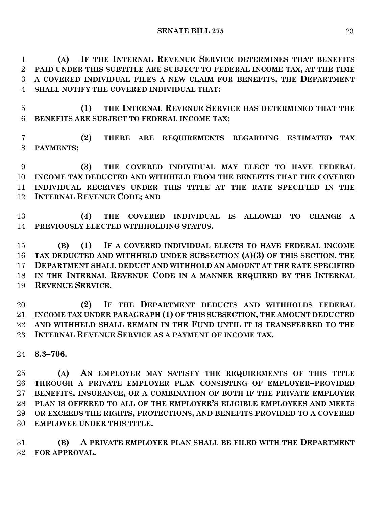**(A) IF THE INTERNAL REVENUE SERVICE DETERMINES THAT BENEFITS PAID UNDER THIS SUBTITLE ARE SUBJECT TO FEDERAL INCOME TAX, AT THE TIME A COVERED INDIVIDUAL FILES A NEW CLAIM FOR BENEFITS, THE DEPARTMENT SHALL NOTIFY THE COVERED INDIVIDUAL THAT:**

 **(1) THE INTERNAL REVENUE SERVICE HAS DETERMINED THAT THE BENEFITS ARE SUBJECT TO FEDERAL INCOME TAX;**

 **(2) THERE ARE REQUIREMENTS REGARDING ESTIMATED TAX PAYMENTS;**

 **(3) THE COVERED INDIVIDUAL MAY ELECT TO HAVE FEDERAL INCOME TAX DEDUCTED AND WITHHELD FROM THE BENEFITS THAT THE COVERED INDIVIDUAL RECEIVES UNDER THIS TITLE AT THE RATE SPECIFIED IN THE INTERNAL REVENUE CODE; AND**

 **(4) THE COVERED INDIVIDUAL IS ALLOWED TO CHANGE A PREVIOUSLY ELECTED WITHHOLDING STATUS.**

 **(B) (1) IF A COVERED INDIVIDUAL ELECTS TO HAVE FEDERAL INCOME TAX DEDUCTED AND WITHHELD UNDER SUBSECTION (A)(3) OF THIS SECTION, THE DEPARTMENT SHALL DEDUCT AND WITHHOLD AN AMOUNT AT THE RATE SPECIFIED IN THE INTERNAL REVENUE CODE IN A MANNER REQUIRED BY THE INTERNAL REVENUE SERVICE.**

 **(2) IF THE DEPARTMENT DEDUCTS AND WITHHOLDS FEDERAL INCOME TAX UNDER PARAGRAPH (1) OF THIS SUBSECTION, THE AMOUNT DEDUCTED AND WITHHELD SHALL REMAIN IN THE FUND UNTIL IT IS TRANSFERRED TO THE INTERNAL REVENUE SERVICE AS A PAYMENT OF INCOME TAX.**

**8.3–706.**

 **(A) AN EMPLOYER MAY SATISFY THE REQUIREMENTS OF THIS TITLE THROUGH A PRIVATE EMPLOYER PLAN CONSISTING OF EMPLOYER–PROVIDED BENEFITS, INSURANCE, OR A COMBINATION OF BOTH IF THE PRIVATE EMPLOYER PLAN IS OFFERED TO ALL OF THE EMPLOYER'S ELIGIBLE EMPLOYEES AND MEETS OR EXCEEDS THE RIGHTS, PROTECTIONS, AND BENEFITS PROVIDED TO A COVERED EMPLOYEE UNDER THIS TITLE.**

 **(B) A PRIVATE EMPLOYER PLAN SHALL BE FILED WITH THE DEPARTMENT FOR APPROVAL.**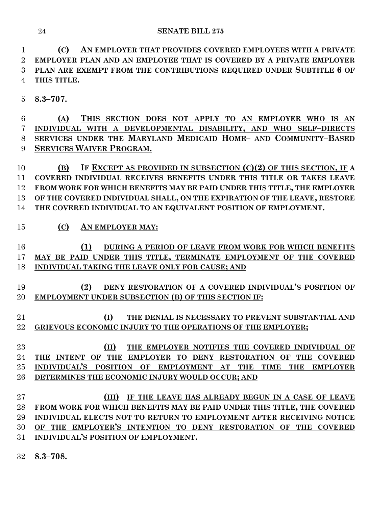**(C) AN EMPLOYER THAT PROVIDES COVERED EMPLOYEES WITH A PRIVATE EMPLOYER PLAN AND AN EMPLOYEE THAT IS COVERED BY A PRIVATE EMPLOYER PLAN ARE EXEMPT FROM THE CONTRIBUTIONS REQUIRED UNDER SUBTITLE 6 OF THIS TITLE.**

**8.3–707.**

 **(A) THIS SECTION DOES NOT APPLY TO AN EMPLOYER WHO IS AN INDIVIDUAL WITH A DEVELOPMENTAL DISABILITY, AND WHO SELF–DIRECTS SERVICES UNDER THE MARYLAND MEDICAID HOME– AND COMMUNITY–BASED SERVICES WAIVER PROGRAM.**

 **(B) IF EXCEPT AS PROVIDED IN SUBSECTION (C)(2) OF THIS SECTION, IF A COVERED INDIVIDUAL RECEIVES BENEFITS UNDER THIS TITLE OR TAKES LEAVE FROM WORK FOR WHICH BENEFITS MAY BE PAID UNDER THIS TITLE, THE EMPLOYER OF THE COVERED INDIVIDUAL SHALL, ON THE EXPIRATION OF THE LEAVE, RESTORE THE COVERED INDIVIDUAL TO AN EQUIVALENT POSITION OF EMPLOYMENT.**

**(C) AN EMPLOYER MAY:**

# **(1) DURING A PERIOD OF LEAVE FROM WORK FOR WHICH BENEFITS MAY BE PAID UNDER THIS TITLE, TERMINATE EMPLOYMENT OF THE COVERED INDIVIDUAL TAKING THE LEAVE ONLY FOR CAUSE; AND**

- **(2) DENY RESTORATION OF A COVERED INDIVIDUAL'S POSITION OF EMPLOYMENT UNDER SUBSECTION (B) OF THIS SECTION IF:**
- **(I) THE DENIAL IS NECESSARY TO PREVENT SUBSTANTIAL AND GRIEVOUS ECONOMIC INJURY TO THE OPERATIONS OF THE EMPLOYER;**

 **(II) THE EMPLOYER NOTIFIES THE COVERED INDIVIDUAL OF THE INTENT OF THE EMPLOYER TO DENY RESTORATION OF THE COVERED INDIVIDUAL'S POSITION OF EMPLOYMENT AT THE TIME THE EMPLOYER DETERMINES THE ECONOMIC INJURY WOULD OCCUR; AND**

- **(III) IF THE LEAVE HAS ALREADY BEGUN IN A CASE OF LEAVE FROM WORK FOR WHICH BENEFITS MAY BE PAID UNDER THIS TITLE, THE COVERED INDIVIDUAL ELECTS NOT TO RETURN TO EMPLOYMENT AFTER RECEIVING NOTICE OF THE EMPLOYER'S INTENTION TO DENY RESTORATION OF THE COVERED INDIVIDUAL'S POSITION OF EMPLOYMENT.**
- **8.3–708.**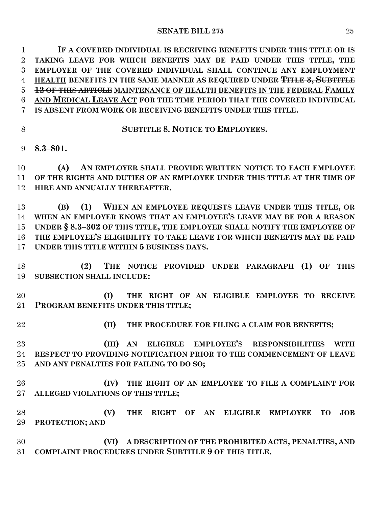**IF A COVERED INDIVIDUAL IS RECEIVING BENEFITS UNDER THIS TITLE OR IS TAKING LEAVE FOR WHICH BENEFITS MAY BE PAID UNDER THIS TITLE, THE EMPLOYER OF THE COVERED INDIVIDUAL SHALL CONTINUE ANY EMPLOYMENT HEALTH BENEFITS IN THE SAME MANNER AS REQUIRED UNDER TITLE 3, SUBTITLE 12 OF THIS ARTICLE MAINTENANCE OF HEALTH BENEFITS IN THE FEDERAL FAMILY AND MEDICAL LEAVE ACT FOR THE TIME PERIOD THAT THE COVERED INDIVIDUAL IS ABSENT FROM WORK OR RECEIVING BENEFITS UNDER THIS TITLE.**

**SUBTITLE 8. NOTICE TO EMPLOYEES.**

**8.3–801.**

 **(A) AN EMPLOYER SHALL PROVIDE WRITTEN NOTICE TO EACH EMPLOYEE OF THE RIGHTS AND DUTIES OF AN EMPLOYEE UNDER THIS TITLE AT THE TIME OF HIRE AND ANNUALLY THEREAFTER.**

 **(B) (1) WHEN AN EMPLOYEE REQUESTS LEAVE UNDER THIS TITLE, OR WHEN AN EMPLOYER KNOWS THAT AN EMPLOYEE'S LEAVE MAY BE FOR A REASON UNDER § 8.3–302 OF THIS TITLE, THE EMPLOYER SHALL NOTIFY THE EMPLOYEE OF THE EMPLOYEE'S ELIGIBILITY TO TAKE LEAVE FOR WHICH BENEFITS MAY BE PAID UNDER THIS TITLE WITHIN 5 BUSINESS DAYS.**

 **(2) THE NOTICE PROVIDED UNDER PARAGRAPH (1) OF THIS SUBSECTION SHALL INCLUDE:**

 **(I) THE RIGHT OF AN ELIGIBLE EMPLOYEE TO RECEIVE PROGRAM BENEFITS UNDER THIS TITLE;**

**(II) THE PROCEDURE FOR FILING A CLAIM FOR BENEFITS;**

 **(III) AN ELIGIBLE EMPLOYEE'S RESPONSIBILITIES WITH RESPECT TO PROVIDING NOTIFICATION PRIOR TO THE COMMENCEMENT OF LEAVE AND ANY PENALTIES FOR FAILING TO DO SO;**

 **(IV) THE RIGHT OF AN EMPLOYEE TO FILE A COMPLAINT FOR ALLEGED VIOLATIONS OF THIS TITLE;**

 **(V) THE RIGHT OF AN ELIGIBLE EMPLOYEE TO JOB PROTECTION; AND**

 **(VI) A DESCRIPTION OF THE PROHIBITED ACTS, PENALTIES, AND COMPLAINT PROCEDURES UNDER SUBTITLE 9 OF THIS TITLE.**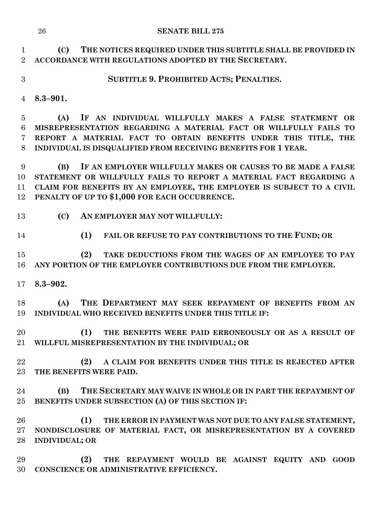**(C) THE NOTICES REQUIRED UNDER THIS SUBTITLE SHALL BE PROVIDED IN ACCORDANCE WITH REGULATIONS ADOPTED BY THE SECRETARY.**

**SUBTITLE 9. PROHIBITED ACTS; PENALTIES.**

**8.3–901.**

 **(A) IF AN INDIVIDUAL WILLFULLY MAKES A FALSE STATEMENT OR MISREPRESENTATION REGARDING A MATERIAL FACT OR WILLFULLY FAILS TO REPORT A MATERIAL FACT TO OBTAIN BENEFITS UNDER THIS TITLE, THE INDIVIDUAL IS DISQUALIFIED FROM RECEIVING BENEFITS FOR 1 YEAR.**

 **(B) IF AN EMPLOYER WILLFULLY MAKES OR CAUSES TO BE MADE A FALSE STATEMENT OR WILLFULLY FAILS TO REPORT A MATERIAL FACT REGARDING A CLAIM FOR BENEFITS BY AN EMPLOYEE, THE EMPLOYER IS SUBJECT TO A CIVIL PENALTY OF UP TO \$1,000 FOR EACH OCCURRENCE.**

- **(C) AN EMPLOYER MAY NOT WILLFULLY:**
- 

**(1) FAIL OR REFUSE TO PAY CONTRIBUTIONS TO THE FUND; OR** 

 **(2) TAKE DEDUCTIONS FROM THE WAGES OF AN EMPLOYEE TO PAY ANY PORTION OF THE EMPLOYER CONTRIBUTIONS DUE FROM THE EMPLOYER.**

**8.3–902.**

 **(A) THE DEPARTMENT MAY SEEK REPAYMENT OF BENEFITS FROM AN INDIVIDUAL WHO RECEIVED BENEFITS UNDER THIS TITLE IF:**

 **(1) THE BENEFITS WERE PAID ERRONEOUSLY OR AS A RESULT OF WILLFUL MISREPRESENTATION BY THE INDIVIDUAL; OR**

 **(2) A CLAIM FOR BENEFITS UNDER THIS TITLE IS REJECTED AFTER THE BENEFITS WERE PAID.**

 **(B) THE SECRETARY MAY WAIVE IN WHOLE OR IN PART THE REPAYMENT OF BENEFITS UNDER SUBSECTION (A) OF THIS SECTION IF:**

 **(1) THE ERROR IN PAYMENT WAS NOT DUE TO ANY FALSE STATEMENT, NONDISCLOSURE OF MATERIAL FACT, OR MISREPRESENTATION BY A COVERED INDIVIDUAL; OR**

 **(2) THE REPAYMENT WOULD BE AGAINST EQUITY AND GOOD CONSCIENCE OR ADMINISTRATIVE EFFICIENCY.**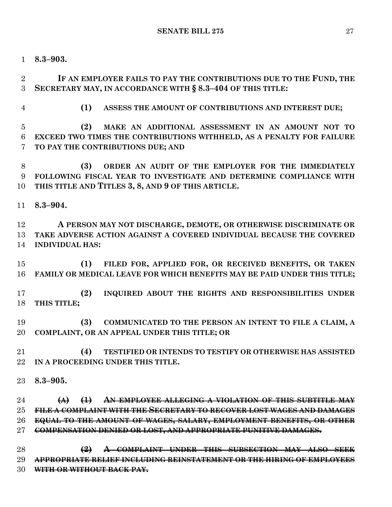**8.3–903.**

 **IF AN EMPLOYER FAILS TO PAY THE CONTRIBUTIONS DUE TO THE FUND, THE SECRETARY MAY, IN ACCORDANCE WITH § 8.3–404 OF THIS TITLE:**

**(1) ASSESS THE AMOUNT OF CONTRIBUTIONS AND INTEREST DUE;**

 **(2) MAKE AN ADDITIONAL ASSESSMENT IN AN AMOUNT NOT TO EXCEED TWO TIMES THE CONTRIBUTIONS WITHHELD, AS A PENALTY FOR FAILURE TO PAY THE CONTRIBUTIONS DUE; AND**

 **(3) ORDER AN AUDIT OF THE EMPLOYER FOR THE IMMEDIATELY FOLLOWING FISCAL YEAR TO INVESTIGATE AND DETERMINE COMPLIANCE WITH THIS TITLE AND TITLES 3, 8, AND 9 OF THIS ARTICLE.**

**8.3–904.**

 **A PERSON MAY NOT DISCHARGE, DEMOTE, OR OTHERWISE DISCRIMINATE OR TAKE ADVERSE ACTION AGAINST A COVERED INDIVIDUAL BECAUSE THE COVERED INDIVIDUAL HAS:**

 **(1) FILED FOR, APPLIED FOR, OR RECEIVED BENEFITS, OR TAKEN FAMILY OR MEDICAL LEAVE FOR WHICH BENEFITS MAY BE PAID UNDER THIS TITLE;**

 **(2) INQUIRED ABOUT THE RIGHTS AND RESPONSIBILITIES UNDER THIS TITLE;**

 **(3) COMMUNICATED TO THE PERSON AN INTENT TO FILE A CLAIM, A COMPLAINT, OR AN APPEAL UNDER THIS TITLE; OR**

 **(4) TESTIFIED OR INTENDS TO TESTIFY OR OTHERWISE HAS ASSISTED IN A PROCEEDING UNDER THIS TITLE.**

**8.3–905.**

 **(A) (1) AN EMPLOYEE ALLEGING A VIOLATION OF THIS SUBTITLE MAY FILE A COMPLAINT WITH THE SECRETARY TO RECOVER LOST WAGES AND DAMAGES EQUAL TO THE AMOUNT OF WAGES, SALARY, EMPLOYMENT BENEFITS, OR OTHER COMPENSATION DENIED OR LOST, AND APPROPRIATE PUNITIVE DAMAGES.**

 **(2) A COMPLAINT UNDER THIS SUBSECTION MAY ALSO SEEK APPROPRIATE RELIEF INCLUDING REINSTATEMENT OR THE HIRING OF EMPLOYEES WITH OR WITHOUT BACK PAY.**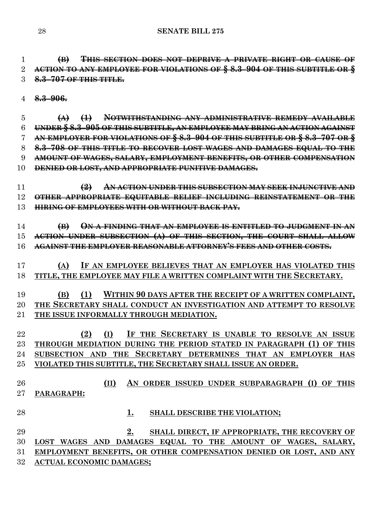**(B) THIS SECTION DOES NOT DEPRIVE A PRIVATE RIGHT OR CAUSE OF ACTION TO ANY EMPLOYEE FOR VIOLATIONS OF § 8.3–904 OF THIS SUBTITLE OR § 8.3–707 OF THIS TITLE.**

**8.3–906.**

 **(A) (1) NOTWITHSTANDING ANY ADMINISTRATIVE REMEDY AVAILABLE UNDER § 8.3–905 OF THIS SUBTITLE, AN EMPLOYEE MAY BRING AN ACTION AGAINST AN EMPLOYER FOR VIOLATIONS OF § 8.3–904 OF THIS SUBTITLE OR § 8.3–707 OR § 8.3–708 OF THIS TITLE TO RECOVER LOST WAGES AND DAMAGES EQUAL TO THE AMOUNT OF WAGES, SALARY, EMPLOYMENT BENEFITS, OR OTHER COMPENSATION DENIED OR LOST, AND APPROPRIATE PUNITIVE DAMAGES.**

 **(2) AN ACTION UNDER THIS SUBSECTION MAY SEEK INJUNCTIVE AND OTHER APPROPRIATE EQUITABLE RELIEF INCLUDING REINSTATEMENT OR THE HIRING OF EMPLOYEES WITH OR WITHOUT BACK PAY.**

 **(B) ON A FINDING THAT AN EMPLOYEE IS ENTITLED TO JUDGMENT IN AN ACTION UNDER SUBSECTION (A) OF THIS SECTION, THE COURT SHALL ALLOW AGAINST THE EMPLOYER REASONABLE ATTORNEY'S FEES AND OTHER COSTS.**

 **(A) IF AN EMPLOYEE BELIEVES THAT AN EMPLOYER HAS VIOLATED THIS TITLE, THE EMPLOYEE MAY FILE A WRITTEN COMPLAINT WITH THE SECRETARY.**

 **(B) (1) WITHIN 90 DAYS AFTER THE RECEIPT OF A WRITTEN COMPLAINT, THE SECRETARY SHALL CONDUCT AN INVESTIGATION AND ATTEMPT TO RESOLVE THE ISSUE INFORMALLY THROUGH MEDIATION.**

 **(2) (I) IF THE SECRETARY IS UNABLE TO RESOLVE AN ISSUE THROUGH MEDIATION DURING THE PERIOD STATED IN PARAGRAPH (1) OF THIS SUBSECTION AND THE SECRETARY DETERMINES THAT AN EMPLOYER HAS VIOLATED THIS SUBTITLE, THE SECRETARY SHALL ISSUE AN ORDER.**

 **(II) AN ORDER ISSUED UNDER SUBPARAGRAPH (I) OF THIS PARAGRAPH:**

**1. SHALL DESCRIBE THE VIOLATION;**

 **2. SHALL DIRECT, IF APPROPRIATE, THE RECOVERY OF LOST WAGES AND DAMAGES EQUAL TO THE AMOUNT OF WAGES, SALARY, EMPLOYMENT BENEFITS, OR OTHER COMPENSATION DENIED OR LOST, AND ANY ACTUAL ECONOMIC DAMAGES;**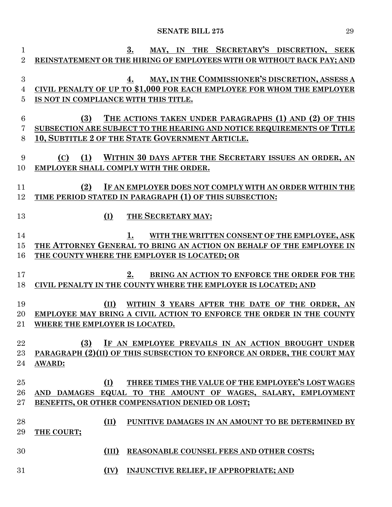| 1               | SECRETARY'S DISCRETION, SEEK<br>3.<br><b>THE</b><br>MAY, IN             |
|-----------------|-------------------------------------------------------------------------|
| $\overline{2}$  | REINSTATEMENT OR THE HIRING OF EMPLOYEES WITH OR WITHOUT BACK PAY; AND  |
|                 |                                                                         |
| 3               | MAY, IN THE COMMISSIONER'S DISCRETION, ASSESS A<br>4.                   |
| 4               | CIVIL PENALTY OF UP TO \$1,000 FOR EACH EMPLOYEE FOR WHOM THE EMPLOYER  |
| 5               | IS NOT IN COMPLIANCE WITH THIS TITLE.                                   |
|                 |                                                                         |
| $6\phantom{.}6$ | (3)<br>THE ACTIONS TAKEN UNDER PARAGRAPHS (1) AND (2) OF THIS           |
| 7               | SUBSECTION ARE SUBJECT TO THE HEARING AND NOTICE REQUIREMENTS OF TITLE  |
| 8               | 10, SUBTITLE 2 OF THE STATE GOVERNMENT ARTICLE.                         |
|                 |                                                                         |
| 9               | (1)<br>WITHIN 30 DAYS AFTER THE SECRETARY ISSUES AN ORDER, AN<br>(C)    |
| 10              | <b>EMPLOYER SHALL COMPLY WITH THE ORDER.</b>                            |
|                 |                                                                         |
| 11              | (2)<br>IF AN EMPLOYER DOES NOT COMPLY WITH AN ORDER WITHIN THE          |
| 12              | TIME PERIOD STATED IN PARAGRAPH (1) OF THIS SUBSECTION:                 |
|                 |                                                                         |
| 13              | (I)<br>THE SECRETARY MAY:                                               |
|                 |                                                                         |
| 14              | WITH THE WRITTEN CONSENT OF THE EMPLOYEE, ASK                           |
| 15              | THE ATTORNEY GENERAL TO BRING AN ACTION ON BEHALF OF THE EMPLOYEE IN    |
| 16              | THE COUNTY WHERE THE EMPLOYER IS LOCATED; OR                            |
|                 |                                                                         |
| 17              | 2.<br>BRING AN ACTION TO ENFORCE THE ORDER FOR THE                      |
| 18              | CIVIL PENALTY IN THE COUNTY WHERE THE EMPLOYER IS LOCATED; AND          |
| 19              | (II)<br>WITHIN 3 YEARS AFTER THE DATE OF THE ORDER, AN                  |
| 20              | EMPLOYEE MAY BRING A CIVIL ACTION TO ENFORCE THE ORDER IN THE COUNTY    |
| 21              | WHERE THE EMPLOYER IS LOCATED.                                          |
|                 |                                                                         |
| $22\,$          | (3)<br>IF AN EMPLOYEE PREVAILS IN AN ACTION BROUGHT UNDER               |
| 23              | PARAGRAPH (2)(II) OF THIS SUBSECTION TO ENFORCE AN ORDER, THE COURT MAY |
| 24              | <b>AWARD:</b>                                                           |
|                 |                                                                         |
| 25              | THREE TIMES THE VALUE OF THE EMPLOYEE'S LOST WAGES<br>(I)               |
| 26              | AND DAMAGES EQUAL TO THE AMOUNT OF WAGES, SALARY, EMPLOYMENT            |
| $27\,$          | BENEFITS, OR OTHER COMPENSATION DENIED OR LOST;                         |
|                 |                                                                         |
| 28              | (II)<br>PUNITIVE DAMAGES IN AN AMOUNT TO BE DETERMINED BY               |
| 29              | THE COURT:                                                              |
|                 |                                                                         |
| 30              | REASONABLE COUNSEL FEES AND OTHER COSTS;<br>(III)                       |
|                 |                                                                         |
| 31              | INJUNCTIVE RELIEF, IF APPROPRIATE; AND<br>(IV)                          |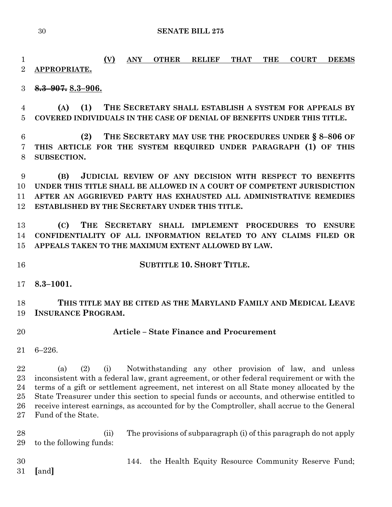**(V) ANY OTHER RELIEF THAT THE COURT DEEMS APPROPRIATE.**

**8.3–907. 8.3–906.**

 **(A) (1) THE SECRETARY SHALL ESTABLISH A SYSTEM FOR APPEALS BY COVERED INDIVIDUALS IN THE CASE OF DENIAL OF BENEFITS UNDER THIS TITLE.**

 **(2) THE SECRETARY MAY USE THE PROCEDURES UNDER § 8–806 OF THIS ARTICLE FOR THE SYSTEM REQUIRED UNDER PARAGRAPH (1) OF THIS SUBSECTION.**

 **(B) JUDICIAL REVIEW OF ANY DECISION WITH RESPECT TO BENEFITS UNDER THIS TITLE SHALL BE ALLOWED IN A COURT OF COMPETENT JURISDICTION AFTER AN AGGRIEVED PARTY HAS EXHAUSTED ALL ADMINISTRATIVE REMEDIES ESTABLISHED BY THE SECRETARY UNDER THIS TITLE.**

 **(C) THE SECRETARY SHALL IMPLEMENT PROCEDURES TO ENSURE CONFIDENTIALITY OF ALL INFORMATION RELATED TO ANY CLAIMS FILED OR APPEALS TAKEN TO THE MAXIMUM EXTENT ALLOWED BY LAW.**

**SUBTITLE 10. SHORT TITLE.**

**8.3–1001.**

 **THIS TITLE MAY BE CITED AS THE MARYLAND FAMILY AND MEDICAL LEAVE INSURANCE PROGRAM.**

# **Article – State Finance and Procurement**

6–226.

 (a) (2) (i) Notwithstanding any other provision of law, and unless inconsistent with a federal law, grant agreement, or other federal requirement or with the terms of a gift or settlement agreement, net interest on all State money allocated by the State Treasurer under this section to special funds or accounts, and otherwise entitled to receive interest earnings, as accounted for by the Comptroller, shall accrue to the General Fund of the State.

 (ii) The provisions of subparagraph (i) of this paragraph do not apply to the following funds:

144. the Health Equity Resource Community Reserve Fund;

**[**and**]**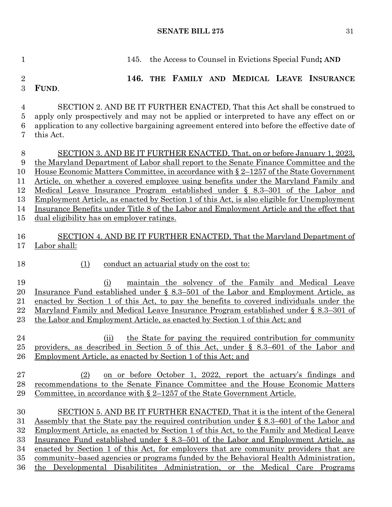145. the Access to Counsel in Evictions Special Fund**; AND 146. THE FAMILY AND MEDICAL LEAVE INSURANCE**  SECTION 2. AND BE IT FURTHER ENACTED, That this Act shall be construed to apply only prospectively and may not be applied or interpreted to have any effect on or application to any collective bargaining agreement entered into before the effective date of SECTION 3. AND BE IT FURTHER ENACTED, That, on or before January 1, 2023, the Maryland Department of Labor shall report to the Senate Finance Committee and the House Economic Matters Committee, in accordance with § 2–1257 of the State Government Article, on whether a covered employee using benefits under the Maryland Family and Medical Leave Insurance Program established under § 8.3–301 of the Labor and Employment Article, as enacted by Section 1 of this Act, is also eligible for Unemployment

 Insurance Benefits under Title 8 of the Labor and Employment Article and the effect that dual eligibility has on employer ratings.

# SECTION 4. AND BE IT FURTHER ENACTED, That the Maryland Department of Labor shall:

**FUND**.

this Act.

### (1) conduct an actuarial study on the cost to:

 (i) maintain the solvency of the Family and Medical Leave Insurance Fund established under § 8.3–501 of the Labor and Employment Article, as enacted by Section 1 of this Act, to pay the benefits to covered individuals under the Maryland Family and Medical Leave Insurance Program established under § 8.3–301 of the Labor and Employment Article, as enacted by Section 1 of this Act; and

- (ii) the State for paying the required contribution for community providers, as described in Section 5 of this Act, under § 8.3–601 of the Labor and Employment Article, as enacted by Section 1 of this Act; and
- (2) on or before October 1, 2022, report the actuary's findings and recommendations to the Senate Finance Committee and the House Economic Matters Committee, in accordance with § 2–1257 of the State Government Article.
- SECTION 5. AND BE IT FURTHER ENACTED, That it is the intent of the General Assembly that the State pay the required contribution under § 8.3–601 of the Labor and Employment Article, as enacted by Section 1 of this Act, to the Family and Medical Leave Insurance Fund established under § 8.3–501 of the Labor and Employment Article, as enacted by Section 1 of this Act, for employers that are community providers that are community–based agencies or programs funded by the Behavioral Health Administration, the Developmental Disabilitites Administration, or the Medical Care Programs